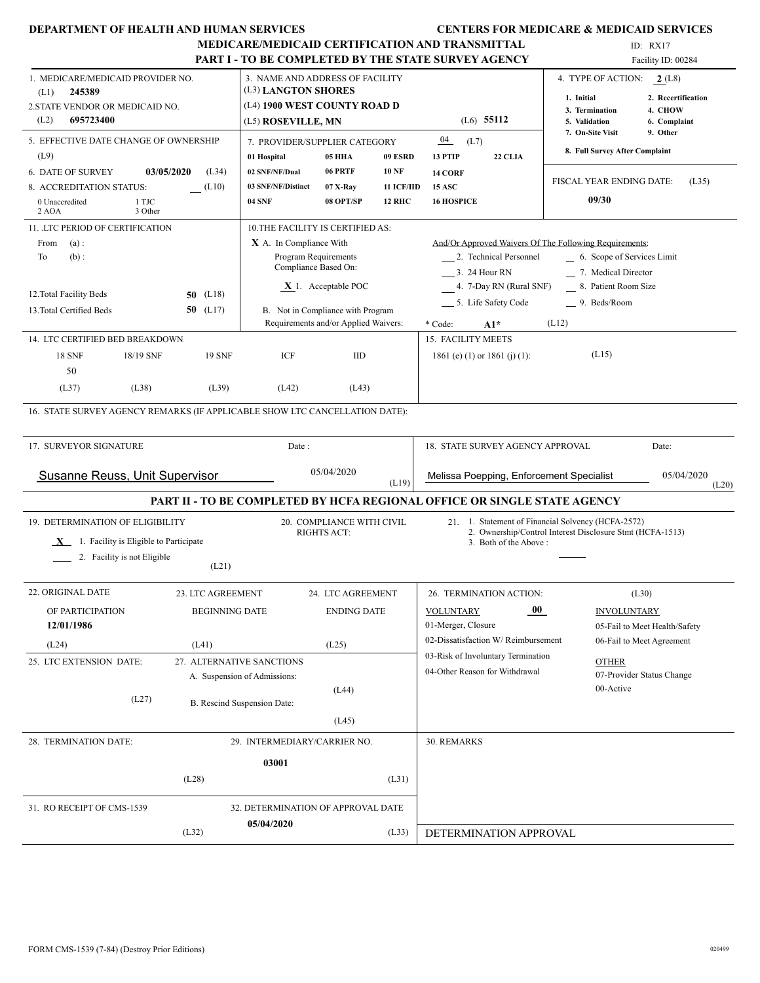|                                                                                        | DEPARTMENT OF HEALTH AND HUMAN SERVICES |                                                                                        |                                                 |                                   |                                                                                                                 | <b>CENTERS FOR MEDICARE &amp; MEDICAID SERVICES</b>             |  |  |  |
|----------------------------------------------------------------------------------------|-----------------------------------------|----------------------------------------------------------------------------------------|-------------------------------------------------|-----------------------------------|-----------------------------------------------------------------------------------------------------------------|-----------------------------------------------------------------|--|--|--|
|                                                                                        |                                         |                                                                                        |                                                 |                                   | <b>MEDICARE/MEDICAID CERTIFICATION AND TRANSMITTAL</b>                                                          | ID: $RX17$                                                      |  |  |  |
|                                                                                        |                                         |                                                                                        |                                                 |                                   | <b>PART I - TO BE COMPLETED BY THE STATE SURVEY AGENCY</b>                                                      | Facility ID: 00284                                              |  |  |  |
| 1. MEDICARE/MEDICAID PROVIDER NO.<br>245389<br>(L1)<br>2. STATE VENDOR OR MEDICAID NO. |                                         | 3. NAME AND ADDRESS OF FACILITY<br>(L3) LANGTON SHORES<br>(L4) 1900 WEST COUNTY ROAD D |                                                 |                                   |                                                                                                                 | 4. TYPE OF ACTION:<br>2(L8)<br>2. Recertification<br>1. Initial |  |  |  |
| (L2)<br>695723400                                                                      |                                         | (L5) ROSEVILLE, MN                                                                     |                                                 |                                   | $(L6)$ 55112                                                                                                    | 4. CHOW<br>3. Termination<br>5. Validation<br>6. Complaint      |  |  |  |
| 5. EFFECTIVE DATE CHANGE OF OWNERSHIP<br>(L9)                                          |                                         | 7. PROVIDER/SUPPLIER CATEGORY                                                          | <b>05 HHA</b>                                   | 09 ESRD                           | 04<br>(L7)<br>13 PTIP<br>22 CLIA                                                                                | 9. Other<br>7. On-Site Visit<br>8. Full Survey After Complaint  |  |  |  |
| 6. DATE OF SURVEY<br>8. ACCREDITATION STATUS:                                          | 03/05/2020<br>(L34)<br>(L10)            | 01 Hospital<br>02 SNF/NF/Dual<br>03 SNF/NF/Distinct                                    | 06 PRTF<br>$07$ X-Ray                           | <b>10 NF</b><br><b>11 ICF/IID</b> | 14 CORF<br><b>15 ASC</b>                                                                                        | FISCAL YEAR ENDING DATE:<br>(L35)                               |  |  |  |
| 1 TJC<br>0 Unaccredited<br>2 AOA<br>3 Other                                            |                                         | <b>04 SNF</b>                                                                          | 08 OPT/SP                                       | <b>12 RHC</b>                     | <b>16 HOSPICE</b>                                                                                               | 09/30                                                           |  |  |  |
| 11. LTC PERIOD OF CERTIFICATION                                                        |                                         | 10. THE FACILITY IS CERTIFIED AS:                                                      |                                                 |                                   |                                                                                                                 |                                                                 |  |  |  |
| From<br>(a):                                                                           |                                         | X A. In Compliance With                                                                |                                                 |                                   | And/Or Approved Waivers Of The Following Requirements:                                                          |                                                                 |  |  |  |
| To<br>$(b)$ :                                                                          |                                         |                                                                                        | Program Requirements                            |                                   | 2. Technical Personnel                                                                                          | 6. Scope of Services Limit                                      |  |  |  |
|                                                                                        |                                         |                                                                                        | Compliance Based On:                            |                                   | 3. 24 Hour RN                                                                                                   | 7. Medical Director                                             |  |  |  |
|                                                                                        |                                         |                                                                                        | $X$ 1. Acceptable POC                           |                                   | 4. 7-Day RN (Rural SNF)                                                                                         | 8. Patient Room Size                                            |  |  |  |
| 12. Total Facility Beds                                                                | (L18)<br>50                             |                                                                                        |                                                 |                                   |                                                                                                                 |                                                                 |  |  |  |
| 13. Total Certified Beds                                                               | 50 $(L17)$                              |                                                                                        | B. Not in Compliance with Program               |                                   | 5. Life Safety Code                                                                                             | 9. Beds/Room                                                    |  |  |  |
| 14. LTC CERTIFIED BED BREAKDOWN                                                        |                                         |                                                                                        | Requirements and/or Applied Waivers:            |                                   | $A1*$<br>* Code:<br>15. FACILITY MEETS                                                                          | (L12)                                                           |  |  |  |
|                                                                                        |                                         |                                                                                        |                                                 |                                   |                                                                                                                 |                                                                 |  |  |  |
| <b>18 SNF</b><br>18/19 SNF                                                             | <b>19 SNF</b>                           | ICF                                                                                    | IID                                             |                                   | 1861 (e) (1) or 1861 (j) (1):                                                                                   | (L15)                                                           |  |  |  |
| 50<br>(L37)<br>(L38)                                                                   | (L39)                                   | (L42)                                                                                  | (L43)                                           |                                   |                                                                                                                 |                                                                 |  |  |  |
|                                                                                        |                                         |                                                                                        |                                                 |                                   |                                                                                                                 |                                                                 |  |  |  |
| 16. STATE SURVEY AGENCY REMARKS (IF APPLICABLE SHOW LTC CANCELLATION DATE):            |                                         |                                                                                        |                                                 |                                   |                                                                                                                 |                                                                 |  |  |  |
| 17. SURVEYOR SIGNATURE                                                                 |                                         | Date:                                                                                  |                                                 |                                   | 18. STATE SURVEY AGENCY APPROVAL                                                                                | Date:                                                           |  |  |  |
| <b>Susanne Reuss, Unit Supervisor</b>                                                  |                                         |                                                                                        | 05/04/2020                                      | (L19)                             | Melissa Poepping, Enforcement Specialist                                                                        | 05/04/2020<br>(L20)                                             |  |  |  |
|                                                                                        |                                         |                                                                                        |                                                 |                                   | PART II - TO BE COMPLETED BY HCFA REGIONAL OFFICE OR SINGLE STATE AGENCY                                        |                                                                 |  |  |  |
| 19. DETERMINATION OF ELIGIBILITY                                                       |                                         |                                                                                        | 20. COMPLIANCE WITH CIVIL<br><b>RIGHTS ACT:</b> |                                   | 21. 1. Statement of Financial Solvency (HCFA-2572)<br>2. Ownership/Control Interest Disclosure Stmt (HCFA-1513) |                                                                 |  |  |  |
| $X$ 1. Facility is Eligible to Participate                                             |                                         |                                                                                        |                                                 |                                   | 3. Both of the Above:                                                                                           |                                                                 |  |  |  |
| 2. Facility is not Eligible                                                            |                                         |                                                                                        |                                                 |                                   |                                                                                                                 |                                                                 |  |  |  |
|                                                                                        | (L21)                                   |                                                                                        |                                                 |                                   |                                                                                                                 |                                                                 |  |  |  |
| 22. ORIGINAL DATE                                                                      | 23. LTC AGREEMENT                       |                                                                                        | 24. LTC AGREEMENT                               |                                   | 26. TERMINATION ACTION:                                                                                         | (L30)                                                           |  |  |  |
| OF PARTICIPATION<br>12/01/1986                                                         | <b>BEGINNING DATE</b>                   |                                                                                        | <b>ENDING DATE</b>                              |                                   | $\bf{00}$<br><b>VOLUNTARY</b><br>01-Merger, Closure                                                             | <b>INVOLUNTARY</b><br>05-Fail to Meet Health/Safety             |  |  |  |
| (L24)                                                                                  | (L41)                                   |                                                                                        | (L25)                                           |                                   | 02-Dissatisfaction W/Reimbursement                                                                              | 06-Fail to Meet Agreement                                       |  |  |  |
| 25. LTC EXTENSION DATE:                                                                | 27. ALTERNATIVE SANCTIONS               |                                                                                        |                                                 |                                   | 03-Risk of Involuntary Termination                                                                              | <b>OTHER</b>                                                    |  |  |  |
|                                                                                        |                                         | A. Suspension of Admissions:                                                           |                                                 |                                   | 04-Other Reason for Withdrawal                                                                                  | 07-Provider Status Change                                       |  |  |  |
| (L27)                                                                                  |                                         |                                                                                        | (L44)                                           |                                   |                                                                                                                 | 00-Active                                                       |  |  |  |
|                                                                                        |                                         | B. Rescind Suspension Date:                                                            | (L45)                                           |                                   |                                                                                                                 |                                                                 |  |  |  |
| 28. TERMINATION DATE:                                                                  |                                         | 29. INTERMEDIARY/CARRIER NO.                                                           |                                                 |                                   | 30. REMARKS                                                                                                     |                                                                 |  |  |  |
|                                                                                        |                                         | 03001                                                                                  |                                                 |                                   |                                                                                                                 |                                                                 |  |  |  |
|                                                                                        | (L28)                                   |                                                                                        |                                                 | (L31)                             |                                                                                                                 |                                                                 |  |  |  |
|                                                                                        |                                         |                                                                                        |                                                 |                                   |                                                                                                                 |                                                                 |  |  |  |
| 31. RO RECEIPT OF CMS-1539                                                             |                                         | 32. DETERMINATION OF APPROVAL DATE                                                     |                                                 |                                   |                                                                                                                 |                                                                 |  |  |  |
|                                                                                        | (L32)                                   | 05/04/2020                                                                             |                                                 | (L33)                             | DETERMINATION APPROVAL                                                                                          |                                                                 |  |  |  |
|                                                                                        |                                         |                                                                                        |                                                 |                                   |                                                                                                                 |                                                                 |  |  |  |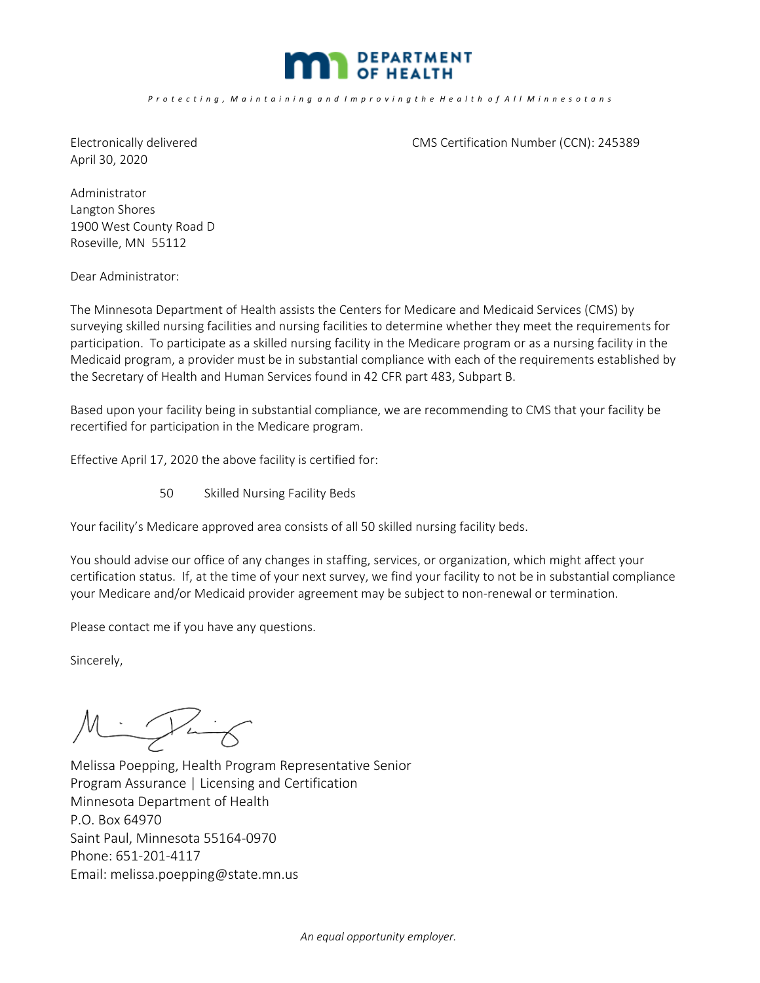

April 30, 2020

Electronically delivered CMS Certification Number (CCN): 245389

Administrator Langton Shores 1900 West County Road D Roseville, MN 55112

Dear Administrator:

The Minnesota Department of Health assists the Centers for Medicare and Medicaid Services (CMS) by surveying skilled nursing facilities and nursing facilities to determine whether they meet the requirements for participation. To participate as a skilled nursing facility in the Medicare program or as a nursing facility in the Medicaid program, a provider must be in substantial compliance with each of the requirements established by the Secretary of Health and Human Services found in 42 CFR part 483, Subpart B.

Based upon your facility being in substantial compliance, we are recommending to CMS that your facility be recertified for participation in the Medicare program.

Effective April 17, 2020 the above facility is certified for:

50 Skilled Nursing Facility Beds

Your facility's Medicare approved area consists of all 50 skilled nursing facility beds.

You should advise our office of any changes in staffing, services, or organization, which might affect your certification status. If, at the time of your next survey, we find your facility to not be in substantial compliance your Medicare and/or Medicaid provider agreement may be subject to non-renewal or termination.

Please contact me if you have any questions.

Sincerely,

Minghing

Melissa Poepping, Health Program Representative Senior Program Assurance | Licensing and Certification Minnesota Department of Health P.O. Box 64970 Saint Paul, Minnesota 55164‐0970 Phone: 651‐201‐4117 Email: melissa.poepping@state.mn.us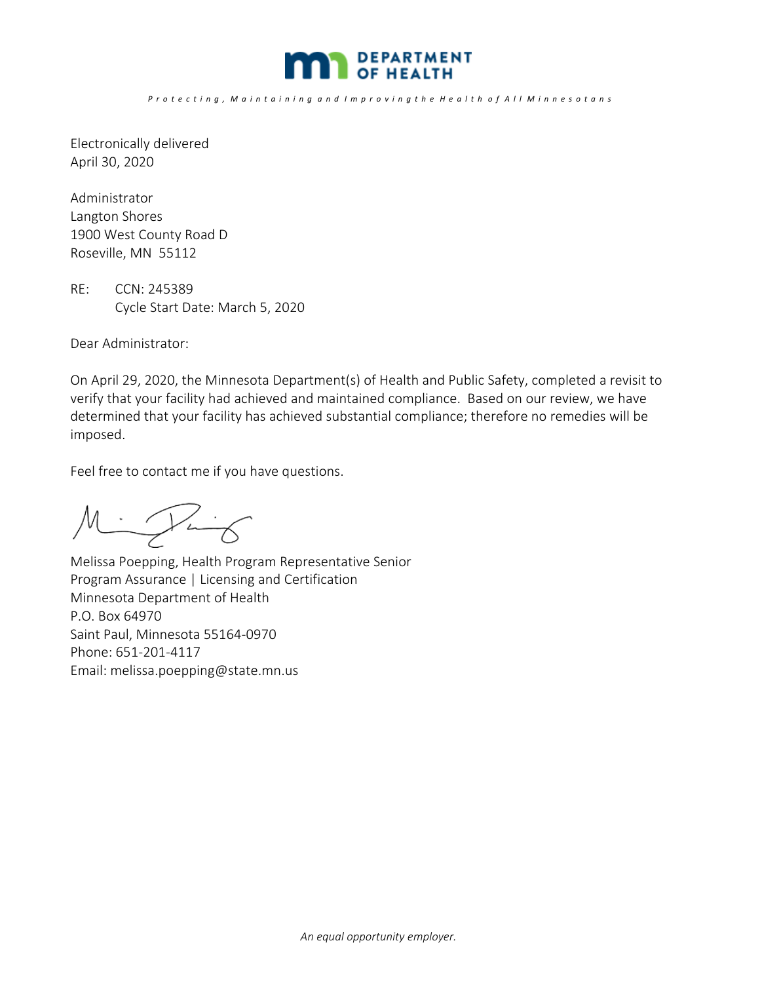

Electronically delivered April 30, 2020

Administrator Langton Shores 1900 West County Road D Roseville, MN 55112

RE: CCN: 245389 Cycle Start Date: March 5, 2020

Dear Administrator:

On April 29, 2020, the Minnesota Department(s) of Health and Public Safety, completed a revisit to verify that your facility had achieved and maintained compliance. Based on our review, we have determined that your facility has achieved substantial compliance; therefore no remedies will be imposed.

Feel free to contact me if you have questions.

Minghing

Melissa Poepping, Health Program Representative Senior Program Assurance | Licensing and Certification Minnesota Department of Health P.O. Box 64970 Saint Paul, Minnesota 55164‐0970 Phone: 651‐201‐4117 Email: melissa.poepping@state.mn.us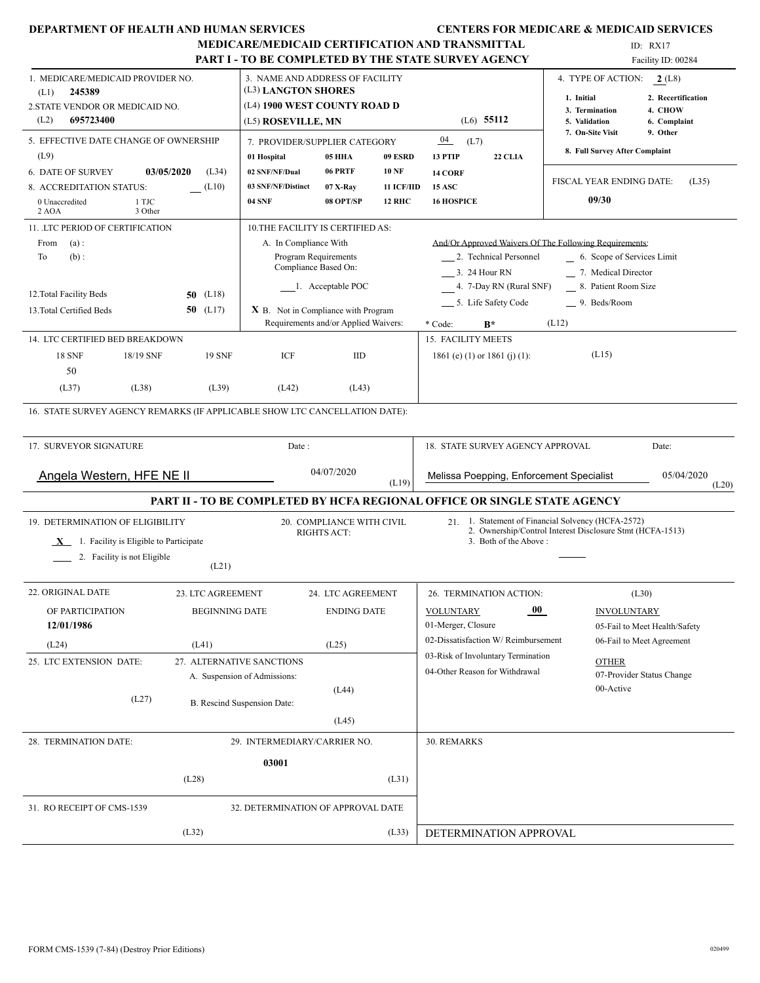| <b>DEPARTMENT OF HEALTH AND HUMAN SERVICES</b>                              |                       |                                                        |                                              |                         |                                                                          | <b>CENTERS FOR MEDICARE &amp; MEDICAID SERVICES</b>            |
|-----------------------------------------------------------------------------|-----------------------|--------------------------------------------------------|----------------------------------------------|-------------------------|--------------------------------------------------------------------------|----------------------------------------------------------------|
|                                                                             |                       |                                                        |                                              |                         | MEDICARE/MEDICAID CERTIFICATION AND TRANSMITTAL                          | ID: RX17                                                       |
|                                                                             |                       |                                                        |                                              |                         | <b>PART I - TO BE COMPLETED BY THE STATE SURVEY AGENCY</b>               | Facility ID: 00284                                             |
| 1. MEDICARE/MEDICAID PROVIDER NO.<br>245389<br>(L1)                         |                       | 3. NAME AND ADDRESS OF FACILITY<br>(L3) LANGTON SHORES |                                              |                         |                                                                          | 4. TYPE OF ACTION: 2 (L8)<br>1. Initial<br>2. Recertification  |
| 2. STATE VENDOR OR MEDICAID NO.                                             |                       | (L4) 1900 WEST COUNTY ROAD D                           |                                              |                         |                                                                          | 4. CHOW<br>3. Termination                                      |
| (L2)<br>695723400                                                           |                       | (L5) ROSEVILLE, MN                                     |                                              | $(L6)$ 55112            | 5. Validation<br>6. Complaint                                            |                                                                |
| 5. EFFECTIVE DATE CHANGE OF OWNERSHIP                                       |                       | 7. PROVIDER/SUPPLIER CATEGORY                          |                                              |                         | 04<br>(L7)<br>13 PTIP                                                    | 7. On-Site Visit<br>9. Other<br>8. Full Survey After Complaint |
| (L9)<br>03/05/2020                                                          |                       | 01 Hospital                                            | <b>05 HHA</b><br>06 PRTF                     | 09 ESRD<br><b>10 NF</b> | 22 CLIA                                                                  |                                                                |
| <b>6. DATE OF SURVEY</b><br>8. ACCREDITATION STATUS:                        | (L34)<br>(L10)        | 02 SNF/NF/Dual<br>03 SNF/NF/Distinct                   | $07$ X-Ray                                   | <b>11 ICF/IID</b>       | 14 CORF<br><b>15 ASC</b>                                                 | FISCAL YEAR ENDING DATE:<br>(L35)                              |
| 1 TJC<br>0 Unaccredited                                                     |                       | <b>04 SNF</b>                                          | 08 OPT/SP                                    | <b>12 RHC</b>           | <b>16 HOSPICE</b>                                                        | 09/30                                                          |
| 2 AOA<br>3 Other                                                            |                       |                                                        |                                              |                         |                                                                          |                                                                |
| 11. LTC PERIOD OF CERTIFICATION                                             |                       | 10. THE FACILITY IS CERTIFIED AS:                      |                                              |                         |                                                                          |                                                                |
| From<br>(a):                                                                |                       | A. In Compliance With                                  |                                              |                         | And/Or Approved Waivers Of The Following Requirements:                   |                                                                |
| To<br>$(b)$ :                                                               |                       |                                                        | Program Requirements<br>Compliance Based On: |                         | 2. Technical Personnel                                                   | 6. Scope of Services Limit                                     |
|                                                                             |                       |                                                        |                                              |                         | 3. 24 Hour RN                                                            | 7. Medical Director                                            |
| 12. Total Facility Beds                                                     | 50 $(L18)$            |                                                        | 1. Acceptable POC                            |                         | 4. 7-Day RN (Rural SNF)                                                  | 8. Patient Room Size                                           |
| 13. Total Certified Beds                                                    | 50 $(L17)$            | X B. Not in Compliance with Program                    |                                              |                         | __ 5. Life Safety Code                                                   | _9. Beds/Room                                                  |
|                                                                             |                       |                                                        | Requirements and/or Applied Waivers:         |                         | $B^*$<br>* Code:                                                         | (L12)                                                          |
| 14. LTC CERTIFIED BED BREAKDOWN                                             |                       |                                                        |                                              |                         | 15. FACILITY MEETS                                                       |                                                                |
| <b>18 SNF</b><br>18/19 SNF                                                  | <b>19 SNF</b>         | ICF                                                    | <b>IID</b>                                   |                         | 1861 (e) (1) or 1861 (j) (1):                                            | (L15)                                                          |
| 50                                                                          |                       |                                                        |                                              |                         |                                                                          |                                                                |
| (L37)<br>(L38)                                                              | (L39)                 | (L42)                                                  | (L43)                                        |                         |                                                                          |                                                                |
| 16. STATE SURVEY AGENCY REMARKS (IF APPLICABLE SHOW LTC CANCELLATION DATE): |                       |                                                        |                                              |                         |                                                                          |                                                                |
| 17. SURVEYOR SIGNATURE                                                      |                       | Date:                                                  |                                              |                         | 18. STATE SURVEY AGENCY APPROVAL                                         | Date:                                                          |
|                                                                             |                       |                                                        |                                              |                         |                                                                          |                                                                |
| <b>Angela Western, HFE NE II</b>                                            |                       |                                                        | 04/07/2020                                   | (L19)                   | Melissa Poepping, Enforcement Specialist                                 | 05/04/2020                                                     |
|                                                                             |                       |                                                        |                                              |                         | PART II - TO BE COMPLETED BY HCFA REGIONAL OFFICE OR SINGLE STATE AGENCY | (L20)                                                          |
| 19. DETERMINATION OF ELIGIBILITY                                            |                       |                                                        | 20. COMPLIANCE WITH CIVIL                    |                         |                                                                          | 21 1. Statement of Financial Solvency (HCFA-2572)              |
| $X$ 1. Facility is Eligible to Participate                                  |                       |                                                        | RIGHTS ACT:                                  |                         | 3. Both of the Above:                                                    | 2. Ownership/Control Interest Disclosure Stmt (HCFA-1513)      |
| 2. Facility is not Eligible                                                 |                       |                                                        |                                              |                         |                                                                          |                                                                |
|                                                                             | (L21)                 |                                                        |                                              |                         |                                                                          |                                                                |
| 22. ORIGINAL DATE                                                           | 23. LTC AGREEMENT     |                                                        | 24. LTC AGREEMENT                            |                         | 26. TERMINATION ACTION:                                                  | (L30)                                                          |
| OF PARTICIPATION                                                            | <b>BEGINNING DATE</b> |                                                        | <b>ENDING DATE</b>                           |                         | $00\,$<br><b>VOLUNTARY</b>                                               | <b>INVOLUNTARY</b>                                             |
| 12/01/1986                                                                  |                       |                                                        |                                              |                         | 01-Merger, Closure                                                       | 05-Fail to Meet Health/Safety                                  |
| (L24)                                                                       | (L41)                 |                                                        | (L25)                                        |                         | 02-Dissatisfaction W/Reimbursement                                       | 06-Fail to Meet Agreement                                      |
| 25. LTC EXTENSION DATE:                                                     |                       | 27. ALTERNATIVE SANCTIONS                              |                                              |                         | 03-Risk of Involuntary Termination                                       | <b>OTHER</b>                                                   |
|                                                                             |                       | A. Suspension of Admissions:                           |                                              |                         | 04-Other Reason for Withdrawal                                           | 07-Provider Status Change                                      |
| (L27)                                                                       |                       |                                                        | (L44)                                        |                         |                                                                          | 00-Active                                                      |
|                                                                             |                       | B. Rescind Suspension Date:                            |                                              |                         |                                                                          |                                                                |
|                                                                             |                       |                                                        | (L45)                                        |                         |                                                                          |                                                                |
| 28. TERMINATION DATE:                                                       |                       | 29. INTERMEDIARY/CARRIER NO.                           |                                              |                         | 30. REMARKS                                                              |                                                                |
|                                                                             |                       | 03001                                                  |                                              |                         |                                                                          |                                                                |
|                                                                             | (L28)                 |                                                        |                                              | (L31)                   |                                                                          |                                                                |
| 31. RO RECEIPT OF CMS-1539                                                  |                       | 32. DETERMINATION OF APPROVAL DATE                     |                                              |                         |                                                                          |                                                                |
|                                                                             | (L32)                 |                                                        |                                              | (L33)                   | DETERMINATION APPROVAL                                                   |                                                                |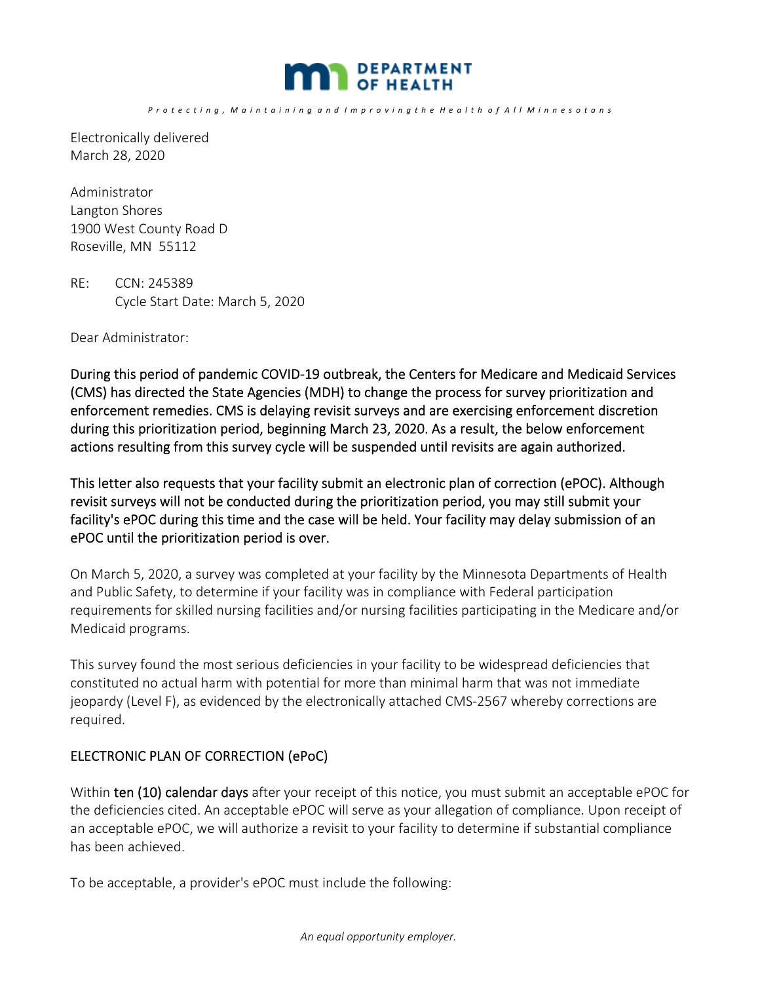

Electronically delivered March 28, 2020

Administrator Langton Shores 1900 West County Road D Roseville, MN 55112

RE: CCN: 245389 Cycle Start Date: March 5, 2020

Dear Administrator:

During this period of pandemic COVID‐19 outbreak, the Centers for Medicare and Medicaid Services (CMS) has directed the State Agencies (MDH) to change the process for survey prioritization and enforcement remedies. CMS is delaying revisit surveys and are exercising enforcement discretion during this prioritization period, beginning March 23, 2020. As a result, the below enforcement actions resulting from this survey cycle will be suspended until revisits are again authorized.

This letter also requests that your facility submit an electronic plan of correction (ePOC). Although revisit surveys will not be conducted during the prioritization period, you may still submit your facility's ePOC during this time and the case will be held. Your facility may delay submission of an ePOC until the prioritization period is over.

On March 5, 2020, a survey was completed at your facility by the Minnesota Departments of Health and Public Safety, to determine if your facility was in compliance with Federal participation requirements for skilled nursing facilities and/or nursing facilities participating in the Medicare and/or Medicaid programs.

This survey found the most serious deficiencies in your facility to be widespread deficiencies that constituted no actual harm with potential for more than minimal harm that was not immediate jeopardy (Level F), as evidenced by the electronically attached CMS‐2567 whereby corrections are required.

## ELECTRONIC PLAN OF CORRECTION (ePoC)

Within ten (10) calendar days after your receipt of this notice, you must submit an acceptable ePOC for the deficiencies cited. An acceptable ePOC will serve as your allegation of compliance. Upon receipt of an acceptable ePOC, we will authorize a revisit to your facility to determine if substantial compliance has been achieved.

To be acceptable, a provider's ePOC must include the following: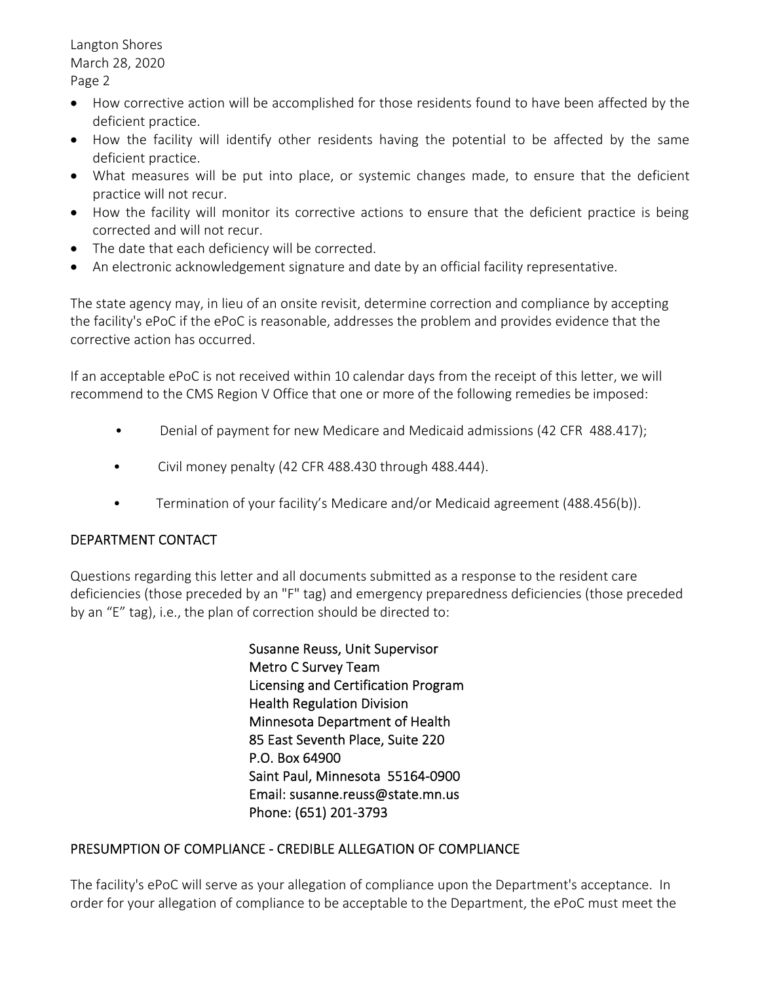Langton Shores March 28, 2020 Page 2

- How corrective action will be accomplished for those residents found to have been affected by the deficient practice.
- How the facility will identify other residents having the potential to be affected by the same deficient practice.
- What measures will be put into place, or systemic changes made, to ensure that the deficient practice will not recur.
- How the facility will monitor its corrective actions to ensure that the deficient practice is being corrected and will not recur.
- The date that each deficiency will be corrected.
- An electronic acknowledgement signature and date by an official facility representative.

The state agency may, in lieu of an onsite revisit, determine correction and compliance by accepting the facility's ePoC if the ePoC is reasonable, addresses the problem and provides evidence that the corrective action has occurred.

If an acceptable ePoC is not received within 10 calendar days from the receipt of this letter, we will recommend to the CMS Region V Office that one or more of the following remedies be imposed:

- Denial of payment for new Medicare and Medicaid admissions (42 CFR 488.417);
- Civil money penalty (42 CFR 488.430 through 488.444).
- Termination of your facility's Medicare and/or Medicaid agreement (488.456(b)).

# DEPARTMENT CONTACT

Questions regarding this letter and all documents submitted as a response to the resident care deficiencies (those preceded by an "F" tag) and emergency preparedness deficiencies (those preceded by an "E" tag), i.e., the plan of correction should be directed to:

> Susanne Reuss, Unit Supervisor Metro C Survey Team Licensing and Certification Program Health Regulation Division Minnesota Department of Health 85 East Seventh Place, Suite 220 P.O. Box 64900 Saint Paul, Minnesota 55164‐0900 Email: susanne.reuss@state.mn.us Phone: (651) 201‐3793

## PRESUMPTION OF COMPLIANCE ‐ CREDIBLE ALLEGATION OF COMPLIANCE

The facility's ePoC will serve as your allegation of compliance upon the Department's acceptance. In order for your allegation of compliance to be acceptable to the Department, the ePoC must meet the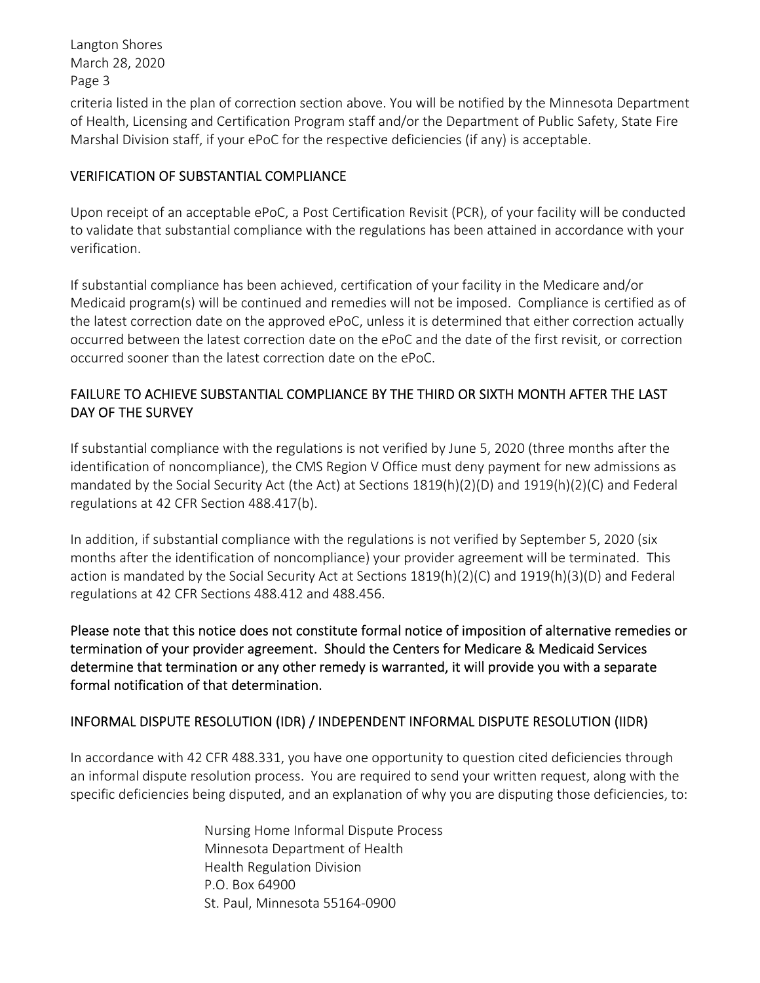Langton Shores March 28, 2020 Page 3

criteria listed in the plan of correction section above. You will be notified by the Minnesota Department of Health, Licensing and Certification Program staff and/or the Department of Public Safety, State Fire Marshal Division staff, if your ePoC for the respective deficiencies (if any) is acceptable.

# VERIFICATION OF SUBSTANTIAL COMPLIANCE

Upon receipt of an acceptable ePoC, a Post Certification Revisit (PCR), of your facility will be conducted to validate that substantial compliance with the regulations has been attained in accordance with your verification.

If substantial compliance has been achieved, certification of your facility in the Medicare and/or Medicaid program(s) will be continued and remedies will not be imposed. Compliance is certified as of the latest correction date on the approved ePoC, unless it is determined that either correction actually occurred between the latest correction date on the ePoC and the date of the first revisit, or correction occurred sooner than the latest correction date on the ePoC.

# FAILURE TO ACHIEVE SUBSTANTIAL COMPLIANCE BY THE THIRD OR SIXTH MONTH AFTER THE LAST DAY OF THE SURVEY

If substantial compliance with the regulations is not verified by June 5, 2020 (three months after the identification of noncompliance), the CMS Region V Office must deny payment for new admissions as mandated by the Social Security Act (the Act) at Sections 1819(h)(2)(D) and 1919(h)(2)(C) and Federal regulations at 42 CFR Section 488.417(b).

In addition, if substantial compliance with the regulations is not verified by September 5, 2020 (six months after the identification of noncompliance) your provider agreement will be terminated. This action is mandated by the Social Security Act at Sections 1819(h)(2)(C) and 1919(h)(3)(D) and Federal regulations at 42 CFR Sections 488.412 and 488.456.

Please note that this notice does not constitute formal notice of imposition of alternative remedies or termination of your provider agreement. Should the Centers for Medicare & Medicaid Services determine that termination or any other remedy is warranted, it will provide you with a separate formal notification of that determination.

## INFORMAL DISPUTE RESOLUTION (IDR) / INDEPENDENT INFORMAL DISPUTE RESOLUTION (IIDR)

In accordance with 42 CFR 488.331, you have one opportunity to question cited deficiencies through an informal dispute resolution process. You are required to send your written request, along with the specific deficiencies being disputed, and an explanation of why you are disputing those deficiencies, to:

> Nursing Home Informal Dispute Process Minnesota Department of Health Health Regulation Division P.O. Box 64900 St. Paul, Minnesota 55164‐0900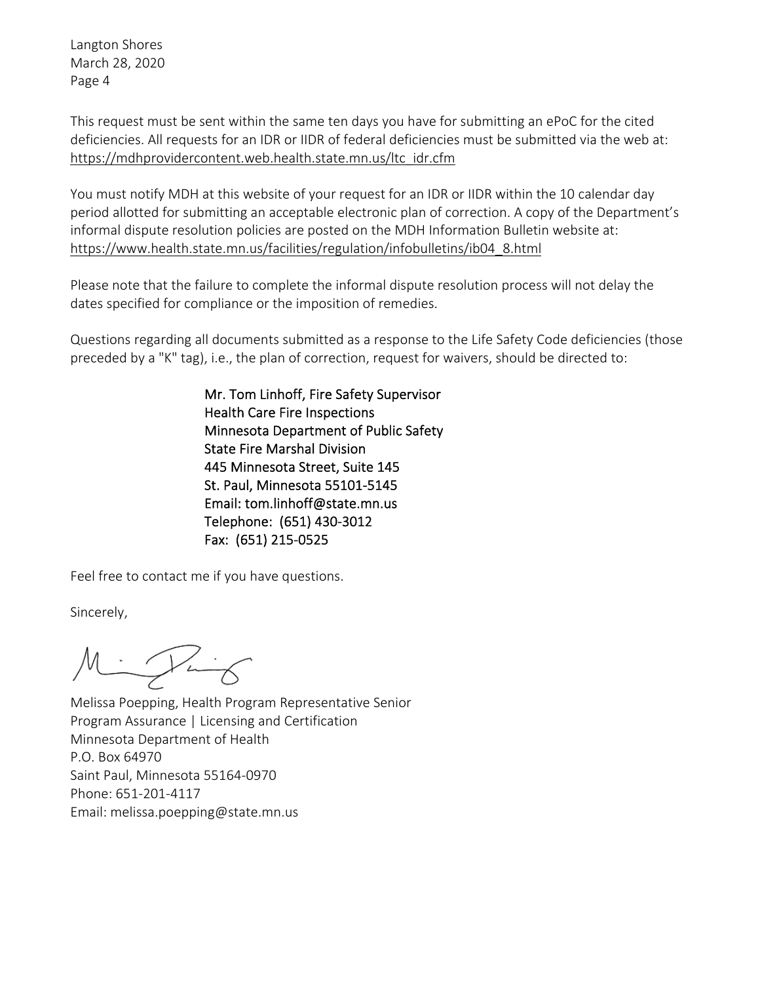Langton Shores March 28, 2020 Page 4

This request must be sent within the same ten days you have for submitting an ePoC for the cited deficiencies. All requests for an IDR or IIDR of federal deficiencies must be submitted via the web at: https://mdhprovidercontent.web.health.state.mn.us/ltc\_idr.cfm

You must notify MDH at this website of your request for an IDR or IIDR within the 10 calendar day period allotted for submitting an acceptable electronic plan of correction. A copy of the Department's informal dispute resolution policies are posted on the MDH Information Bulletin website at: https://www.health.state.mn.us/facilities/regulation/infobulletins/ib04\_8.html

Please note that the failure to complete the informal dispute resolution process will not delay the dates specified for compliance or the imposition of remedies.

Questions regarding all documents submitted as a response to the Life Safety Code deficiencies (those preceded by a "K" tag), i.e., the plan of correction, request for waivers, should be directed to:

> Mr. Tom Linhoff, Fire Safety Supervisor Health Care Fire Inspections Minnesota Department of Public Safety State Fire Marshal Division 445 Minnesota Street, Suite 145 St. Paul, Minnesota 55101‐5145 Email: tom.linhoff@state.mn.us Telephone: (651) 430‐3012 Fax: (651) 215‐0525

Feel free to contact me if you have questions.

Sincerely,

 $M = \sqrt{1 + 6}$ 

Melissa Poepping, Health Program Representative Senior Program Assurance | Licensing and Certification Minnesota Department of Health P.O. Box 64970 Saint Paul, Minnesota 55164‐0970 Phone: 651‐201‐4117 Email: melissa.poepping@state.mn.us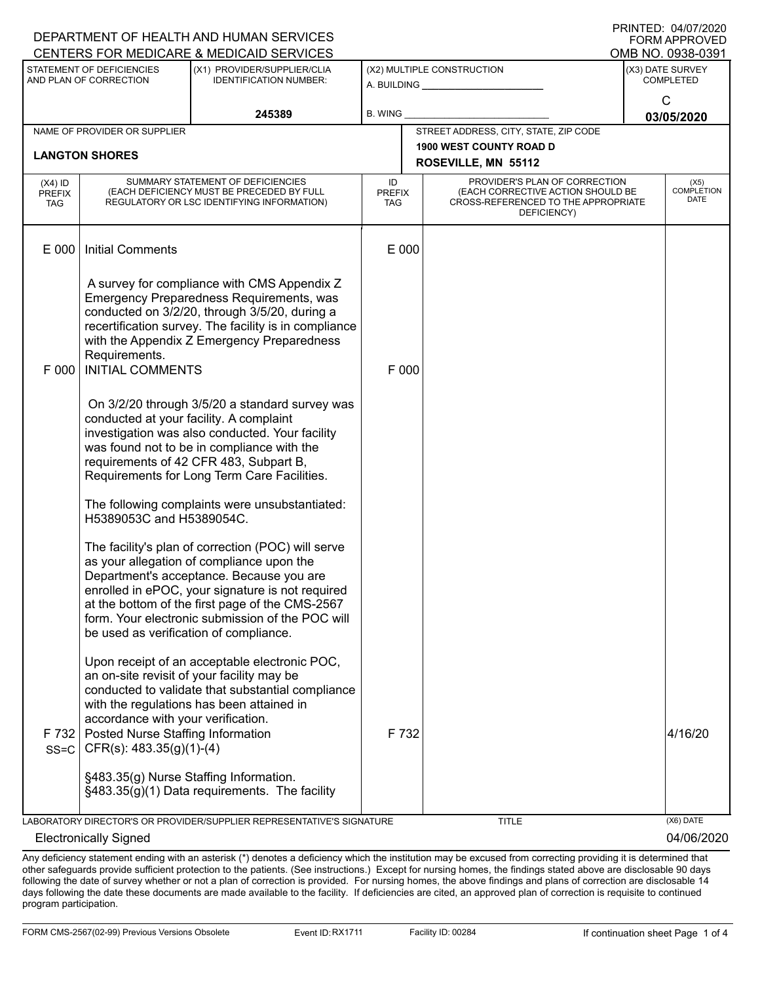|                                          |                                                                                                       | DEPARTMENT OF HEALTH AND HUMAN SERVICES<br>CENTERS FOR MEDICARE & MEDICAID SERVICES                                                                                                                                                                                                                    |                                   |       |                                                                                                                          | FORM APPROVED<br>OMB NO. 0938-0391       |
|------------------------------------------|-------------------------------------------------------------------------------------------------------|--------------------------------------------------------------------------------------------------------------------------------------------------------------------------------------------------------------------------------------------------------------------------------------------------------|-----------------------------------|-------|--------------------------------------------------------------------------------------------------------------------------|------------------------------------------|
|                                          | STATEMENT OF DEFICIENCIES<br>AND PLAN OF CORRECTION                                                   | (X1) PROVIDER/SUPPLIER/CLIA<br><b>IDENTIFICATION NUMBER:</b>                                                                                                                                                                                                                                           |                                   |       | (X2) MULTIPLE CONSTRUCTION<br>A. BUILDING _______________                                                                | (X3) DATE SURVEY<br><b>COMPLETED</b>     |
|                                          |                                                                                                       | 245389                                                                                                                                                                                                                                                                                                 | <b>B. WING</b>                    |       |                                                                                                                          | $\mathsf{C}$<br>03/05/2020               |
|                                          | NAME OF PROVIDER OR SUPPLIER                                                                          |                                                                                                                                                                                                                                                                                                        |                                   |       | STREET ADDRESS, CITY, STATE, ZIP CODE                                                                                    |                                          |
|                                          | <b>LANGTON SHORES</b>                                                                                 |                                                                                                                                                                                                                                                                                                        |                                   |       | <b>1900 WEST COUNTY ROAD D</b><br>ROSEVILLE, MN 55112                                                                    |                                          |
| $(X4)$ ID<br><b>PREFIX</b><br><b>TAG</b> |                                                                                                       | SUMMARY STATEMENT OF DEFICIENCIES<br>(EACH DEFICIENCY MUST BE PRECEDED BY FULL<br>REGULATORY OR LSC IDENTIFYING INFORMATION)                                                                                                                                                                           | ID<br><b>PREFIX</b><br><b>TAG</b> |       | PROVIDER'S PLAN OF CORRECTION<br>(EACH CORRECTIVE ACTION SHOULD BE<br>CROSS-REFERENCED TO THE APPROPRIATE<br>DEFICIENCY) | (X5)<br><b>COMPLETION</b><br><b>DATE</b> |
| E 000                                    | <b>Initial Comments</b>                                                                               |                                                                                                                                                                                                                                                                                                        | E 000                             |       |                                                                                                                          |                                          |
| F 000                                    | Requirements.<br><b>INITIAL COMMENTS</b>                                                              | A survey for compliance with CMS Appendix Z<br>Emergency Preparedness Requirements, was<br>conducted on 3/2/20, through 3/5/20, during a<br>recertification survey. The facility is in compliance<br>with the Appendix Z Emergency Preparedness                                                        | F 000                             |       |                                                                                                                          |                                          |
|                                          | conducted at your facility. A complaint                                                               | On 3/2/20 through 3/5/20 a standard survey was<br>investigation was also conducted. Your facility<br>was found not to be in compliance with the<br>requirements of 42 CFR 483, Subpart B,<br>Requirements for Long Term Care Facilities.                                                               |                                   |       |                                                                                                                          |                                          |
|                                          | H5389053C and H5389054C.                                                                              | The following complaints were unsubstantiated:                                                                                                                                                                                                                                                         |                                   |       |                                                                                                                          |                                          |
|                                          | be used as verification of compliance.                                                                | The facility's plan of correction (POC) will serve<br>as your allegation of compliance upon the<br>Department's acceptance. Because you are<br>enrolled in ePOC, your signature is not required<br>at the bottom of the first page of the CMS-2567<br>form. Your electronic submission of the POC will |                                   |       |                                                                                                                          |                                          |
| F 732<br>$SS = C$                        | accordance with your verification.<br>Posted Nurse Staffing Information<br>CFR(s): $483.35(g)(1)-(4)$ | Upon receipt of an acceptable electronic POC,<br>an on-site revisit of your facility may be<br>conducted to validate that substantial compliance<br>with the regulations has been attained in                                                                                                          |                                   | F 732 |                                                                                                                          | 4/16/20                                  |
|                                          | §483.35(g) Nurse Staffing Information.                                                                | §483.35(g)(1) Data requirements. The facility                                                                                                                                                                                                                                                          |                                   |       |                                                                                                                          |                                          |
|                                          |                                                                                                       | LABORATORY DIRECTOR'S OR PROVIDER/SUPPLIER REPRESENTATIVE'S SIGNATURE                                                                                                                                                                                                                                  |                                   |       | <b>TITLE</b>                                                                                                             | (X6) DATE                                |
|                                          | <b>Electronically Signed</b>                                                                          |                                                                                                                                                                                                                                                                                                        |                                   |       |                                                                                                                          | 04/06/2020                               |

Any deficiency statement ending with an asterisk (\*) denotes a deficiency which the institution may be excused from correcting providing it is determined that other safeguards provide sufficient protection to the patients. (See instructions.) Except for nursing homes, the findings stated above are disclosable 90 days following the date of survey whether or not a plan of correction is provided. For nursing homes, the above findings and plans of correction are disclosable 14 days following the date these documents are made available to the facility. If deficiencies are cited, an approved plan of correction is requisite to continued program participation.

DEPARTMENT OF HEALTH AND HUMAN SERVICES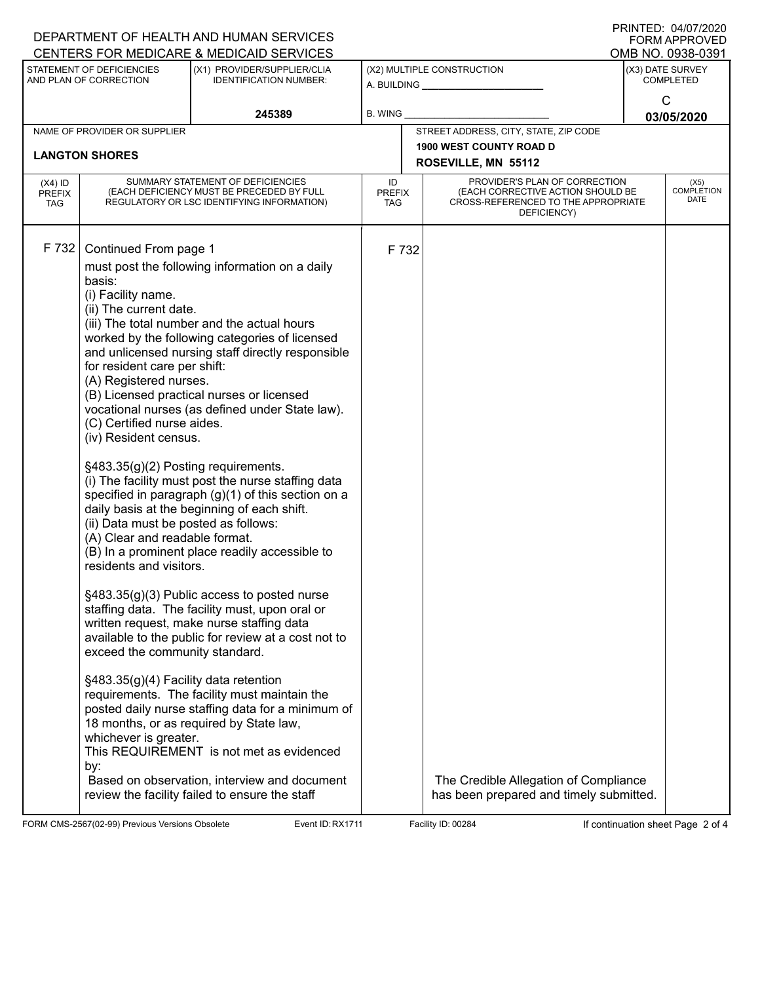|                                          |                                                                                                                                                                                                                                                                                                                                                                                                                                                         | DEPARTMENT OF HEALTH AND HUMAN SERVICES<br>CENTERS FOR MEDICARE & MEDICAID SERVICES                                                                                                                                                                                                                                                                                                                                                                                                                                                                                                                                                                                                                                                                                                                                                                                                                                                                                                                                  |                            |       |                                                                                                                          | FNINIEU. VIIUILLULU<br><b>FORM APPROVED</b> |
|------------------------------------------|---------------------------------------------------------------------------------------------------------------------------------------------------------------------------------------------------------------------------------------------------------------------------------------------------------------------------------------------------------------------------------------------------------------------------------------------------------|----------------------------------------------------------------------------------------------------------------------------------------------------------------------------------------------------------------------------------------------------------------------------------------------------------------------------------------------------------------------------------------------------------------------------------------------------------------------------------------------------------------------------------------------------------------------------------------------------------------------------------------------------------------------------------------------------------------------------------------------------------------------------------------------------------------------------------------------------------------------------------------------------------------------------------------------------------------------------------------------------------------------|----------------------------|-------|--------------------------------------------------------------------------------------------------------------------------|---------------------------------------------|
|                                          | STATEMENT OF DEFICIENCIES                                                                                                                                                                                                                                                                                                                                                                                                                               | (X1) PROVIDER/SUPPLIER/CLIA                                                                                                                                                                                                                                                                                                                                                                                                                                                                                                                                                                                                                                                                                                                                                                                                                                                                                                                                                                                          |                            |       | (X2) MULTIPLE CONSTRUCTION                                                                                               | OMB NO. 0938-0391<br>(X3) DATE SURVEY       |
|                                          | AND PLAN OF CORRECTION                                                                                                                                                                                                                                                                                                                                                                                                                                  | <b>IDENTIFICATION NUMBER:</b>                                                                                                                                                                                                                                                                                                                                                                                                                                                                                                                                                                                                                                                                                                                                                                                                                                                                                                                                                                                        |                            |       | A. BUILDING                                                                                                              | <b>COMPLETED</b>                            |
|                                          |                                                                                                                                                                                                                                                                                                                                                                                                                                                         | 245389                                                                                                                                                                                                                                                                                                                                                                                                                                                                                                                                                                                                                                                                                                                                                                                                                                                                                                                                                                                                               | <b>B. WING</b>             |       |                                                                                                                          | C                                           |
|                                          | NAME OF PROVIDER OR SUPPLIER                                                                                                                                                                                                                                                                                                                                                                                                                            |                                                                                                                                                                                                                                                                                                                                                                                                                                                                                                                                                                                                                                                                                                                                                                                                                                                                                                                                                                                                                      |                            |       | 03/05/2020                                                                                                               |                                             |
|                                          |                                                                                                                                                                                                                                                                                                                                                                                                                                                         |                                                                                                                                                                                                                                                                                                                                                                                                                                                                                                                                                                                                                                                                                                                                                                                                                                                                                                                                                                                                                      |                            |       | STREET ADDRESS, CITY, STATE, ZIP CODE<br><b>1900 WEST COUNTY ROAD D</b>                                                  |                                             |
|                                          | <b>LANGTON SHORES</b>                                                                                                                                                                                                                                                                                                                                                                                                                                   |                                                                                                                                                                                                                                                                                                                                                                                                                                                                                                                                                                                                                                                                                                                                                                                                                                                                                                                                                                                                                      |                            |       | ROSEVILLE, MN 55112                                                                                                      |                                             |
| $(X4)$ ID<br><b>PREFIX</b><br><b>TAG</b> | SUMMARY STATEMENT OF DEFICIENCIES<br>(EACH DEFICIENCY MUST BE PRECEDED BY FULL<br>REGULATORY OR LSC IDENTIFYING INFORMATION)                                                                                                                                                                                                                                                                                                                            |                                                                                                                                                                                                                                                                                                                                                                                                                                                                                                                                                                                                                                                                                                                                                                                                                                                                                                                                                                                                                      | ID<br><b>PREFIX</b><br>TAG |       | PROVIDER'S PLAN OF CORRECTION<br>(EACH CORRECTIVE ACTION SHOULD BE<br>CROSS-REFERENCED TO THE APPROPRIATE<br>DEFICIENCY) | (X5)<br><b>COMPLETION</b><br><b>DATE</b>    |
| F 732                                    | Continued From page 1<br>basis:<br>(i) Facility name.<br>(ii) The current date.<br>for resident care per shift:<br>(A) Registered nurses.<br>(C) Certified nurse aides.<br>(iv) Resident census.<br>§483.35(g)(2) Posting requirements.<br>(ii) Data must be posted as follows:<br>(A) Clear and readable format.<br>residents and visitors.<br>exceed the community standard.<br>§483.35(g)(4) Facility data retention<br>whichever is greater.<br>by: | must post the following information on a daily<br>(iii) The total number and the actual hours<br>worked by the following categories of licensed<br>and unlicensed nursing staff directly responsible<br>(B) Licensed practical nurses or licensed<br>vocational nurses (as defined under State law).<br>(i) The facility must post the nurse staffing data<br>specified in paragraph (g)(1) of this section on a<br>daily basis at the beginning of each shift.<br>(B) In a prominent place readily accessible to<br>§483.35(g)(3) Public access to posted nurse<br>staffing data. The facility must, upon oral or<br>written request, make nurse staffing data<br>available to the public for review at a cost not to<br>requirements. The facility must maintain the<br>posted daily nurse staffing data for a minimum of<br>18 months, or as required by State law,<br>This REQUIREMENT is not met as evidenced<br>Based on observation, interview and document<br>review the facility failed to ensure the staff |                            | F 732 | The Credible Allegation of Compliance<br>has been prepared and timely submitted.                                         |                                             |
|                                          |                                                                                                                                                                                                                                                                                                                                                                                                                                                         |                                                                                                                                                                                                                                                                                                                                                                                                                                                                                                                                                                                                                                                                                                                                                                                                                                                                                                                                                                                                                      |                            |       |                                                                                                                          |                                             |

FORM CMS-2567(02-99) Previous Versions Obsolete Event ID: RX1711 Facility ID: 00284 If continuation sheet Page 2 of 4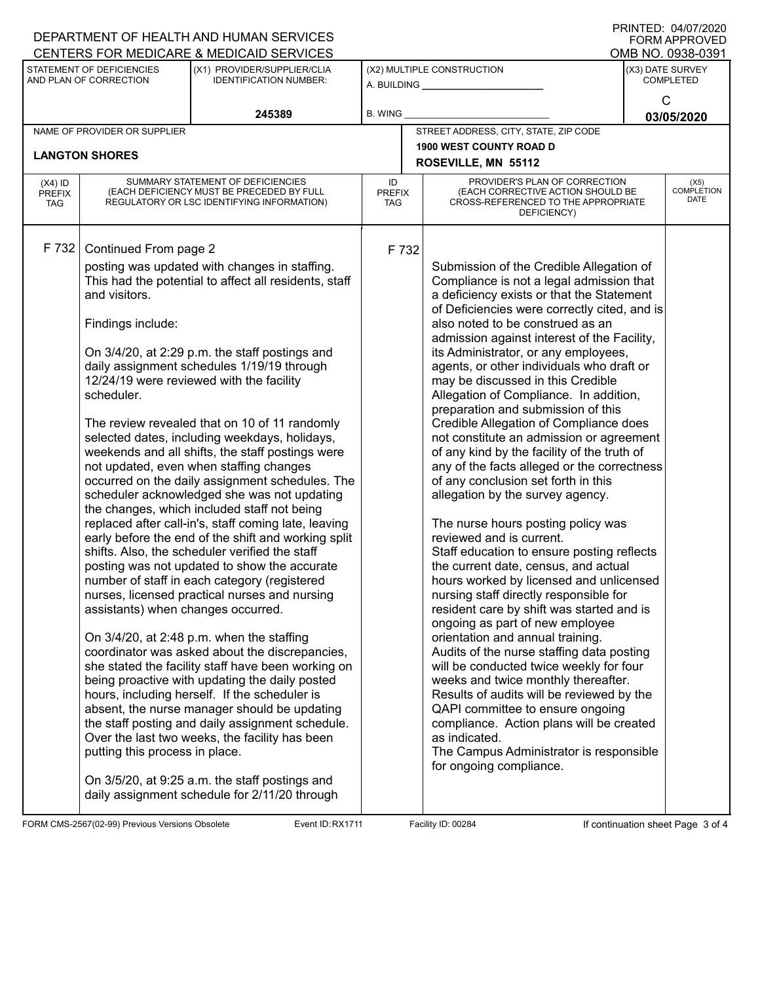|                                   |                                                                                                                                                   | DEPARTMENT OF HEALTH AND HUMAN SERVICES<br>CENTERS FOR MEDICARE & MEDICAID SERVICES                                                                                                                                                                                                                                                                                                                                                                                                                                                                                                                                                                                                                                                                                                                                                                                                                                                                                                                                                                                                                                                                                                                                                                                                                                                                                                                                                     |                            |                                                                                                                                                                                                                                                                                                                                                                                                                                                                                                                                                                                                                                                                                                                                                                                                                                                                                                                                                                                                                                                                                                                                                                                                                                                                                                                                                                                                                                                                   |   | FNINTED. 04/07/2020<br><b>FORM APPROVED</b><br>OMB NO. 0938-0391 |
|-----------------------------------|---------------------------------------------------------------------------------------------------------------------------------------------------|-----------------------------------------------------------------------------------------------------------------------------------------------------------------------------------------------------------------------------------------------------------------------------------------------------------------------------------------------------------------------------------------------------------------------------------------------------------------------------------------------------------------------------------------------------------------------------------------------------------------------------------------------------------------------------------------------------------------------------------------------------------------------------------------------------------------------------------------------------------------------------------------------------------------------------------------------------------------------------------------------------------------------------------------------------------------------------------------------------------------------------------------------------------------------------------------------------------------------------------------------------------------------------------------------------------------------------------------------------------------------------------------------------------------------------------------|----------------------------|-------------------------------------------------------------------------------------------------------------------------------------------------------------------------------------------------------------------------------------------------------------------------------------------------------------------------------------------------------------------------------------------------------------------------------------------------------------------------------------------------------------------------------------------------------------------------------------------------------------------------------------------------------------------------------------------------------------------------------------------------------------------------------------------------------------------------------------------------------------------------------------------------------------------------------------------------------------------------------------------------------------------------------------------------------------------------------------------------------------------------------------------------------------------------------------------------------------------------------------------------------------------------------------------------------------------------------------------------------------------------------------------------------------------------------------------------------------------|---|------------------------------------------------------------------|
|                                   | STATEMENT OF DEFICIENCIES<br>AND PLAN OF CORRECTION                                                                                               | (X1) PROVIDER/SUPPLIER/CLIA<br><b>IDENTIFICATION NUMBER:</b>                                                                                                                                                                                                                                                                                                                                                                                                                                                                                                                                                                                                                                                                                                                                                                                                                                                                                                                                                                                                                                                                                                                                                                                                                                                                                                                                                                            |                            | (X2) MULTIPLE CONSTRUCTION<br>A. BUILDING                                                                                                                                                                                                                                                                                                                                                                                                                                                                                                                                                                                                                                                                                                                                                                                                                                                                                                                                                                                                                                                                                                                                                                                                                                                                                                                                                                                                                         |   | (X3) DATE SURVEY<br><b>COMPLETED</b>                             |
|                                   |                                                                                                                                                   | 245389                                                                                                                                                                                                                                                                                                                                                                                                                                                                                                                                                                                                                                                                                                                                                                                                                                                                                                                                                                                                                                                                                                                                                                                                                                                                                                                                                                                                                                  | <b>B. WING</b>             |                                                                                                                                                                                                                                                                                                                                                                                                                                                                                                                                                                                                                                                                                                                                                                                                                                                                                                                                                                                                                                                                                                                                                                                                                                                                                                                                                                                                                                                                   | C | 03/05/2020                                                       |
|                                   | NAME OF PROVIDER OR SUPPLIER                                                                                                                      |                                                                                                                                                                                                                                                                                                                                                                                                                                                                                                                                                                                                                                                                                                                                                                                                                                                                                                                                                                                                                                                                                                                                                                                                                                                                                                                                                                                                                                         |                            | STREET ADDRESS, CITY, STATE, ZIP CODE                                                                                                                                                                                                                                                                                                                                                                                                                                                                                                                                                                                                                                                                                                                                                                                                                                                                                                                                                                                                                                                                                                                                                                                                                                                                                                                                                                                                                             |   |                                                                  |
|                                   |                                                                                                                                                   |                                                                                                                                                                                                                                                                                                                                                                                                                                                                                                                                                                                                                                                                                                                                                                                                                                                                                                                                                                                                                                                                                                                                                                                                                                                                                                                                                                                                                                         |                            | <b>1900 WEST COUNTY ROAD D</b>                                                                                                                                                                                                                                                                                                                                                                                                                                                                                                                                                                                                                                                                                                                                                                                                                                                                                                                                                                                                                                                                                                                                                                                                                                                                                                                                                                                                                                    |   |                                                                  |
|                                   | <b>LANGTON SHORES</b>                                                                                                                             |                                                                                                                                                                                                                                                                                                                                                                                                                                                                                                                                                                                                                                                                                                                                                                                                                                                                                                                                                                                                                                                                                                                                                                                                                                                                                                                                                                                                                                         |                            | ROSEVILLE, MN 55112                                                                                                                                                                                                                                                                                                                                                                                                                                                                                                                                                                                                                                                                                                                                                                                                                                                                                                                                                                                                                                                                                                                                                                                                                                                                                                                                                                                                                                               |   |                                                                  |
| $(X4)$ ID<br><b>PREFIX</b><br>TAG |                                                                                                                                                   | SUMMARY STATEMENT OF DEFICIENCIES<br>(EACH DEFICIENCY MUST BE PRECEDED BY FULL<br>REGULATORY OR LSC IDENTIFYING INFORMATION)                                                                                                                                                                                                                                                                                                                                                                                                                                                                                                                                                                                                                                                                                                                                                                                                                                                                                                                                                                                                                                                                                                                                                                                                                                                                                                            | ID<br><b>PREFIX</b><br>TAG | PROVIDER'S PLAN OF CORRECTION<br>(EACH CORRECTIVE ACTION SHOULD BE<br>CROSS-REFERENCED TO THE APPROPRIATE<br>DEFICIENCY)                                                                                                                                                                                                                                                                                                                                                                                                                                                                                                                                                                                                                                                                                                                                                                                                                                                                                                                                                                                                                                                                                                                                                                                                                                                                                                                                          |   | (X5)<br><b>COMPLETION</b><br><b>DATE</b>                         |
| F 732                             | Continued From page 2<br>and visitors.<br>Findings include:<br>scheduler.<br>assistants) when changes occurred.<br>putting this process in place. | posting was updated with changes in staffing.<br>This had the potential to affect all residents, staff<br>On 3/4/20, at 2:29 p.m. the staff postings and<br>daily assignment schedules 1/19/19 through<br>12/24/19 were reviewed with the facility<br>The review revealed that on 10 of 11 randomly<br>selected dates, including weekdays, holidays,<br>weekends and all shifts, the staff postings were<br>not updated, even when staffing changes<br>occurred on the daily assignment schedules. The<br>scheduler acknowledged she was not updating<br>the changes, which included staff not being<br>replaced after call-in's, staff coming late, leaving<br>early before the end of the shift and working split<br>shifts. Also, the scheduler verified the staff<br>posting was not updated to show the accurate<br>number of staff in each category (registered<br>nurses, licensed practical nurses and nursing<br>On 3/4/20, at 2:48 p.m. when the staffing<br>coordinator was asked about the discrepancies,<br>she stated the facility staff have been working on<br>being proactive with updating the daily posted<br>hours, including herself. If the scheduler is<br>absent, the nurse manager should be updating<br>the staff posting and daily assignment schedule.<br>Over the last two weeks, the facility has been<br>On 3/5/20, at 9:25 a.m. the staff postings and<br>daily assignment schedule for 2/11/20 through | F 732                      | Submission of the Credible Allegation of<br>Compliance is not a legal admission that<br>a deficiency exists or that the Statement<br>of Deficiencies were correctly cited, and is<br>also noted to be construed as an<br>admission against interest of the Facility,<br>its Administrator, or any employees,<br>agents, or other individuals who draft or<br>may be discussed in this Credible<br>Allegation of Compliance. In addition,<br>preparation and submission of this<br>Credible Allegation of Compliance does<br>not constitute an admission or agreement<br>of any kind by the facility of the truth of<br>any of the facts alleged or the correctness<br>of any conclusion set forth in this<br>allegation by the survey agency.<br>The nurse hours posting policy was<br>reviewed and is current.<br>Staff education to ensure posting reflects<br>the current date, census, and actual<br>hours worked by licensed and unlicensed<br>nursing staff directly responsible for<br>resident care by shift was started and is<br>ongoing as part of new employee<br>orientation and annual training.<br>Audits of the nurse staffing data posting<br>will be conducted twice weekly for four<br>weeks and twice monthly thereafter.<br>Results of audits will be reviewed by the<br>QAPI committee to ensure ongoing<br>compliance. Action plans will be created<br>as indicated.<br>The Campus Administrator is responsible<br>for ongoing compliance. |   |                                                                  |

FORM CMS-2567(02-99) Previous Versions Obsolete Event ID: RX1711 Facility ID: 00284 If continuation sheet Page 3 of 4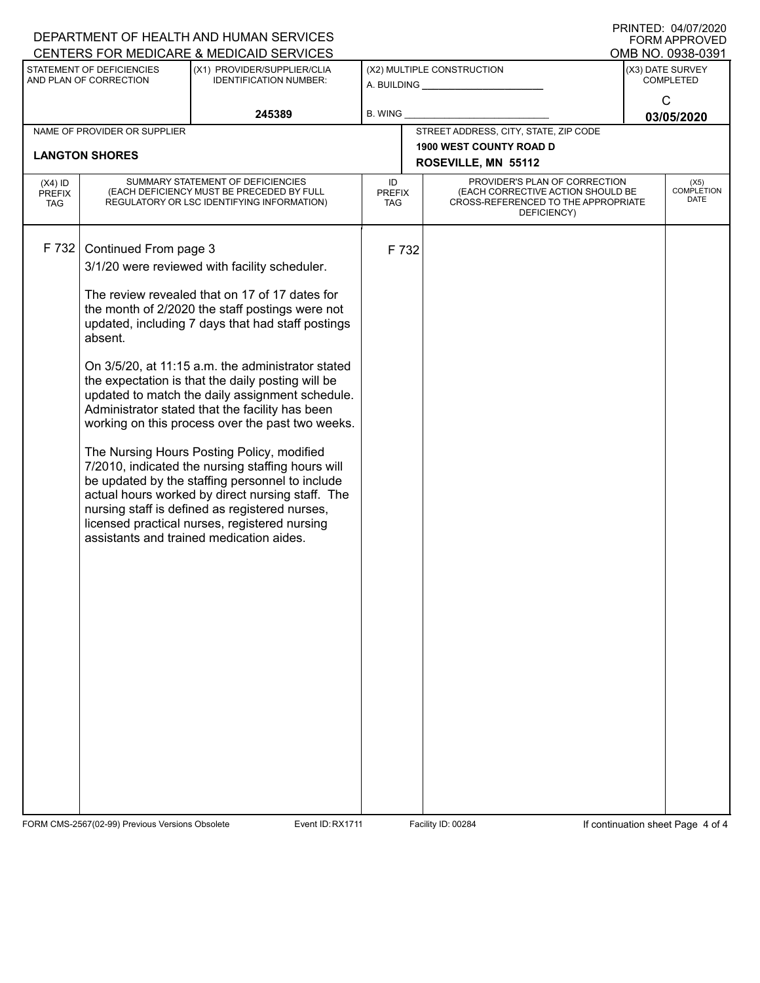|                                          |                              | DEPARTMENT OF HEALTH AND HUMAN SERVICES<br>CENTERS FOR MEDICARE & MEDICAID SERVICES                                          |                            |                                                                                                                          | FORM APPROVED<br>OMB NO. 0938-0391 |
|------------------------------------------|------------------------------|------------------------------------------------------------------------------------------------------------------------------|----------------------------|--------------------------------------------------------------------------------------------------------------------------|------------------------------------|
|                                          | STATEMENT OF DEFICIENCIES    | (X1) PROVIDER/SUPPLIER/CLIA                                                                                                  |                            | (X2) MULTIPLE CONSTRUCTION                                                                                               | (X3) DATE SURVEY                   |
|                                          | AND PLAN OF CORRECTION       | <b>IDENTIFICATION NUMBER:</b>                                                                                                |                            |                                                                                                                          | <b>COMPLETED</b>                   |
|                                          |                              | 245389                                                                                                                       | <b>B. WING</b>             |                                                                                                                          | C                                  |
|                                          | NAME OF PROVIDER OR SUPPLIER |                                                                                                                              |                            | STREET ADDRESS, CITY, STATE, ZIP CODE                                                                                    | 03/05/2020                         |
|                                          |                              |                                                                                                                              |                            | <b>1900 WEST COUNTY ROAD D</b>                                                                                           |                                    |
|                                          | <b>LANGTON SHORES</b>        |                                                                                                                              |                            | ROSEVILLE, MN 55112                                                                                                      |                                    |
| $(X4)$ ID<br><b>PREFIX</b><br><b>TAG</b> |                              | SUMMARY STATEMENT OF DEFICIENCIES<br>(EACH DEFICIENCY MUST BE PRECEDED BY FULL<br>REGULATORY OR LSC IDENTIFYING INFORMATION) | ID<br><b>PREFIX</b><br>TAG | PROVIDER'S PLAN OF CORRECTION<br>(EACH CORRECTIVE ACTION SHOULD BE<br>CROSS-REFERENCED TO THE APPROPRIATE<br>DEFICIENCY) | (X5)<br><b>COMPLETION</b><br>DATE  |
|                                          |                              |                                                                                                                              |                            |                                                                                                                          |                                    |
| F 732                                    | Continued From page 3        |                                                                                                                              | F 732                      |                                                                                                                          |                                    |
|                                          |                              | 3/1/20 were reviewed with facility scheduler.                                                                                |                            |                                                                                                                          |                                    |
|                                          |                              | The review revealed that on 17 of 17 dates for                                                                               |                            |                                                                                                                          |                                    |
|                                          |                              | the month of 2/2020 the staff postings were not                                                                              |                            |                                                                                                                          |                                    |
|                                          | absent.                      | updated, including 7 days that had staff postings                                                                            |                            |                                                                                                                          |                                    |
|                                          |                              |                                                                                                                              |                            |                                                                                                                          |                                    |
|                                          |                              | On 3/5/20, at 11:15 a.m. the administrator stated<br>the expectation is that the daily posting will be                       |                            |                                                                                                                          |                                    |
|                                          |                              | updated to match the daily assignment schedule.                                                                              |                            |                                                                                                                          |                                    |
|                                          |                              | Administrator stated that the facility has been                                                                              |                            |                                                                                                                          |                                    |
|                                          |                              | working on this process over the past two weeks.                                                                             |                            |                                                                                                                          |                                    |
|                                          |                              | The Nursing Hours Posting Policy, modified                                                                                   |                            |                                                                                                                          |                                    |
|                                          |                              | 7/2010, indicated the nursing staffing hours will<br>be updated by the staffing personnel to include                         |                            |                                                                                                                          |                                    |
|                                          |                              | actual hours worked by direct nursing staff. The                                                                             |                            |                                                                                                                          |                                    |
|                                          |                              | nursing staff is defined as registered nurses,<br>licensed practical nurses, registered nursing                              |                            |                                                                                                                          |                                    |
|                                          |                              | assistants and trained medication aides.                                                                                     |                            |                                                                                                                          |                                    |
|                                          |                              |                                                                                                                              |                            |                                                                                                                          |                                    |
|                                          |                              |                                                                                                                              |                            |                                                                                                                          |                                    |
|                                          |                              |                                                                                                                              |                            |                                                                                                                          |                                    |
|                                          |                              |                                                                                                                              |                            |                                                                                                                          |                                    |
|                                          |                              |                                                                                                                              |                            |                                                                                                                          |                                    |
|                                          |                              |                                                                                                                              |                            |                                                                                                                          |                                    |
|                                          |                              |                                                                                                                              |                            |                                                                                                                          |                                    |
|                                          |                              |                                                                                                                              |                            |                                                                                                                          |                                    |
|                                          |                              |                                                                                                                              |                            |                                                                                                                          |                                    |
|                                          |                              |                                                                                                                              |                            |                                                                                                                          |                                    |
|                                          |                              |                                                                                                                              |                            |                                                                                                                          |                                    |
|                                          |                              |                                                                                                                              |                            |                                                                                                                          |                                    |
|                                          |                              |                                                                                                                              |                            |                                                                                                                          |                                    |

FORM CMS-2567(02-99) Previous Versions Obsolete Event ID: RX1711 Facility ID: 00284 If continuation sheet Page 4 of 4

DEPARTMENT OF HEALTH AND HUMAN SERVICES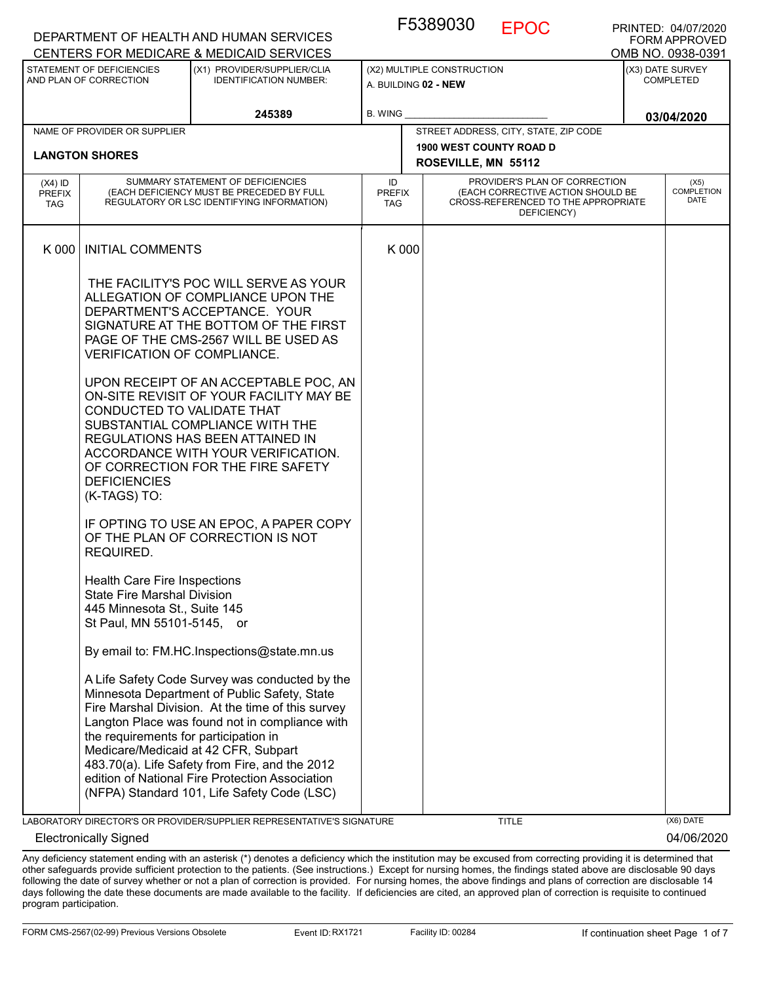|                                   |                                                                                                                                                                                       | DEPARTMENT OF HEALTH AND HUMAN SERVICES<br>CENTERS FOR MEDICARE & MEDICAID SERVICES                                                                                                                                                                                                                                                                                                               |                            |                                                                                                                          | <b>FORM APPROVED</b><br>OMB NO. 0938-0391 |
|-----------------------------------|---------------------------------------------------------------------------------------------------------------------------------------------------------------------------------------|---------------------------------------------------------------------------------------------------------------------------------------------------------------------------------------------------------------------------------------------------------------------------------------------------------------------------------------------------------------------------------------------------|----------------------------|--------------------------------------------------------------------------------------------------------------------------|-------------------------------------------|
|                                   | STATEMENT OF DEFICIENCIES<br>AND PLAN OF CORRECTION                                                                                                                                   | (X1) PROVIDER/SUPPLIER/CLIA<br><b>IDENTIFICATION NUMBER:</b>                                                                                                                                                                                                                                                                                                                                      |                            | (X2) MULTIPLE CONSTRUCTION<br>A. BUILDING 02 - NEW                                                                       | (X3) DATE SURVEY<br><b>COMPLETED</b>      |
|                                   |                                                                                                                                                                                       | 245389                                                                                                                                                                                                                                                                                                                                                                                            | B. WING                    |                                                                                                                          | 03/04/2020                                |
|                                   | NAME OF PROVIDER OR SUPPLIER                                                                                                                                                          |                                                                                                                                                                                                                                                                                                                                                                                                   |                            | STREET ADDRESS, CITY, STATE, ZIP CODE                                                                                    |                                           |
|                                   | <b>LANGTON SHORES</b>                                                                                                                                                                 |                                                                                                                                                                                                                                                                                                                                                                                                   |                            | 1900 WEST COUNTY ROAD D<br>ROSEVILLE, MN 55112                                                                           |                                           |
| $(X4)$ ID<br>PREFIX<br><b>TAG</b> |                                                                                                                                                                                       | SUMMARY STATEMENT OF DEFICIENCIES<br>(EACH DEFICIENCY MUST BE PRECEDED BY FULL<br>REGULATORY OR LSC IDENTIFYING INFORMATION)                                                                                                                                                                                                                                                                      | ID<br><b>PREFIX</b><br>TAG | PROVIDER'S PLAN OF CORRECTION<br>(EACH CORRECTIVE ACTION SHOULD BE<br>CROSS-REFERENCED TO THE APPROPRIATE<br>DEFICIENCY) | (X5)<br><b>COMPLETION</b><br><b>DATE</b>  |
| K 000                             | <b>INITIAL COMMENTS</b>                                                                                                                                                               |                                                                                                                                                                                                                                                                                                                                                                                                   | K 000                      |                                                                                                                          |                                           |
|                                   | VERIFICATION OF COMPLIANCE.<br>CONDUCTED TO VALIDATE THAT                                                                                                                             | THE FACILITY'S POC WILL SERVE AS YOUR<br>ALLEGATION OF COMPLIANCE UPON THE<br>DEPARTMENT'S ACCEPTANCE. YOUR<br>SIGNATURE AT THE BOTTOM OF THE FIRST<br>PAGE OF THE CMS-2567 WILL BE USED AS<br>UPON RECEIPT OF AN ACCEPTABLE POC, AN<br>ON-SITE REVISIT OF YOUR FACILITY MAY BE                                                                                                                   |                            |                                                                                                                          |                                           |
|                                   | SUBSTANTIAL COMPLIANCE WITH THE<br>REGULATIONS HAS BEEN ATTAINED IN<br>ACCORDANCE WITH YOUR VERIFICATION.<br>OF CORRECTION FOR THE FIRE SAFETY<br><b>DEFICIENCIES</b><br>(K-TAGS) TO: |                                                                                                                                                                                                                                                                                                                                                                                                   |                            |                                                                                                                          |                                           |
|                                   | REQUIRED.                                                                                                                                                                             | IF OPTING TO USE AN EPOC, A PAPER COPY<br>OF THE PLAN OF CORRECTION IS NOT                                                                                                                                                                                                                                                                                                                        |                            |                                                                                                                          |                                           |
|                                   | <b>Health Care Fire Inspections</b><br><b>State Fire Marshal Division</b><br>445 Minnesota St., Suite 145<br>St Paul, MN 55101-5145, or                                               |                                                                                                                                                                                                                                                                                                                                                                                                   |                            |                                                                                                                          |                                           |
|                                   |                                                                                                                                                                                       | By email to: FM.HC.Inspections@state.mn.us                                                                                                                                                                                                                                                                                                                                                        |                            |                                                                                                                          |                                           |
|                                   | the requirements for participation in                                                                                                                                                 | A Life Safety Code Survey was conducted by the<br>Minnesota Department of Public Safety, State<br>Fire Marshal Division. At the time of this survey<br>Langton Place was found not in compliance with<br>Medicare/Medicaid at 42 CFR, Subpart<br>483.70(a). Life Safety from Fire, and the 2012<br>edition of National Fire Protection Association<br>(NFPA) Standard 101, Life Safety Code (LSC) |                            |                                                                                                                          |                                           |
|                                   |                                                                                                                                                                                       | LABORATORY DIRECTOR'S OR PROVIDER/SUPPLIER REPRESENTATIVE'S SIGNATURE                                                                                                                                                                                                                                                                                                                             |                            | <b>TITLE</b>                                                                                                             | (X6) DATE                                 |
|                                   | <b>Electronically Signed</b>                                                                                                                                                          |                                                                                                                                                                                                                                                                                                                                                                                                   |                            |                                                                                                                          | 04/06/2020                                |

F5389030 EPOC

PRINTED: 04/07/2020

Any deficiency statement ending with an asterisk (\*) denotes a deficiency which the institution may be excused from correcting providing it is determined that other safeguards provide sufficient protection to the patients. (See instructions.) Except for nursing homes, the findings stated above are disclosable 90 days following the date of survey whether or not a plan of correction is provided. For nursing homes, the above findings and plans of correction are disclosable 14 days following the date these documents are made available to the facility. If deficiencies are cited, an approved plan of correction is requisite to continued program participation.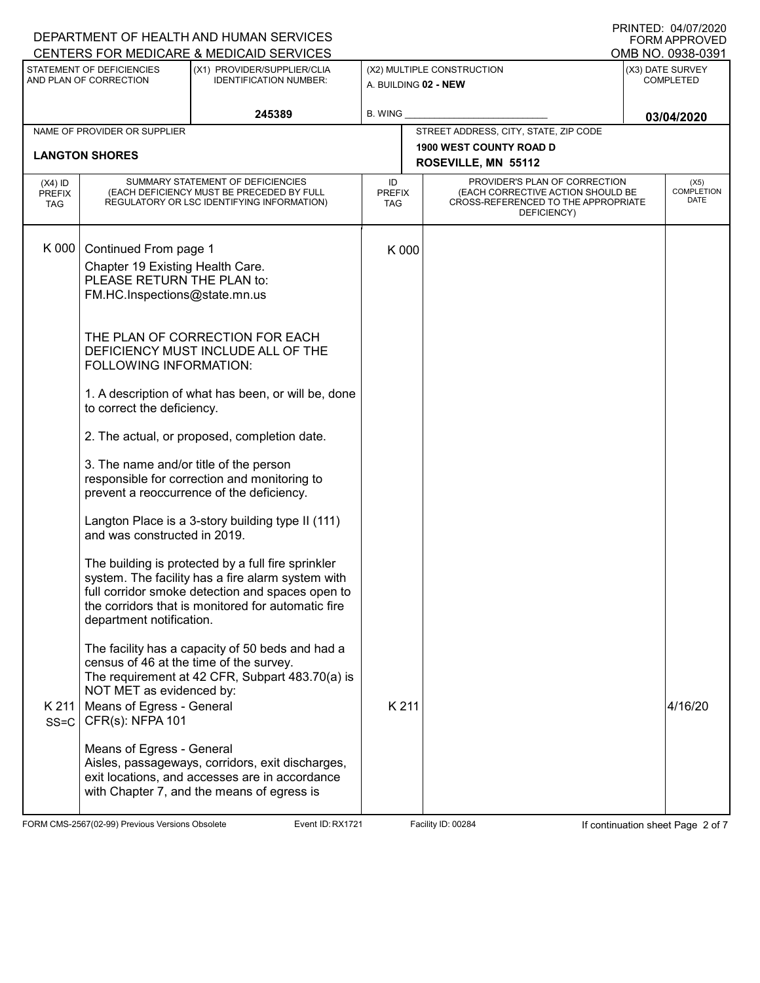|                                   |                                                                                                                          | DEPARTMENT OF HEALTH AND HUMAN SERVICES<br>CENTERS FOR MEDICARE & MEDICAID SERVICES                                                                                                                               |                                   |                                                                                                                          | PRINTED: 04/07/2020<br><b>FORM APPROVED</b><br>OMB NO. 0938-0391 |
|-----------------------------------|--------------------------------------------------------------------------------------------------------------------------|-------------------------------------------------------------------------------------------------------------------------------------------------------------------------------------------------------------------|-----------------------------------|--------------------------------------------------------------------------------------------------------------------------|------------------------------------------------------------------|
|                                   | STATEMENT OF DEFICIENCIES<br>AND PLAN OF CORRECTION                                                                      | (X1) PROVIDER/SUPPLIER/CLIA<br><b>IDENTIFICATION NUMBER:</b>                                                                                                                                                      |                                   | (X2) MULTIPLE CONSTRUCTION<br>A. BUILDING 02 - NEW                                                                       | (X3) DATE SURVEY<br><b>COMPLETED</b>                             |
|                                   |                                                                                                                          | 245389                                                                                                                                                                                                            | <b>B. WING</b>                    |                                                                                                                          | 03/04/2020                                                       |
|                                   | NAME OF PROVIDER OR SUPPLIER                                                                                             |                                                                                                                                                                                                                   |                                   | STREET ADDRESS, CITY, STATE, ZIP CODE                                                                                    |                                                                  |
|                                   | <b>LANGTON SHORES</b>                                                                                                    |                                                                                                                                                                                                                   |                                   | <b>1900 WEST COUNTY ROAD D</b><br>ROSEVILLE, MN 55112                                                                    |                                                                  |
| $(X4)$ ID<br><b>PREFIX</b><br>TAG |                                                                                                                          | SUMMARY STATEMENT OF DEFICIENCIES<br>(EACH DEFICIENCY MUST BE PRECEDED BY FULL<br>REGULATORY OR LSC IDENTIFYING INFORMATION)                                                                                      | ID<br><b>PREFIX</b><br><b>TAG</b> | PROVIDER'S PLAN OF CORRECTION<br>(EACH CORRECTIVE ACTION SHOULD BE<br>CROSS-REFERENCED TO THE APPROPRIATE<br>DEFICIENCY) | (X5)<br><b>COMPLETION</b><br>DATE                                |
| K 000                             | Continued From page 1<br>Chapter 19 Existing Health Care.<br>PLEASE RETURN THE PLAN to:<br>FM.HC.Inspections@state.mn.us |                                                                                                                                                                                                                   | K 000                             |                                                                                                                          |                                                                  |
|                                   | FOLLOWING INFORMATION:                                                                                                   | THE PLAN OF CORRECTION FOR EACH<br>DEFICIENCY MUST INCLUDE ALL OF THE                                                                                                                                             |                                   |                                                                                                                          |                                                                  |
|                                   | to correct the deficiency.                                                                                               | 1. A description of what has been, or will be, done                                                                                                                                                               |                                   |                                                                                                                          |                                                                  |
|                                   |                                                                                                                          | 2. The actual, or proposed, completion date.                                                                                                                                                                      |                                   |                                                                                                                          |                                                                  |
|                                   | 3. The name and/or title of the person                                                                                   | responsible for correction and monitoring to<br>prevent a reoccurrence of the deficiency.                                                                                                                         |                                   |                                                                                                                          |                                                                  |
|                                   | and was constructed in 2019.                                                                                             | Langton Place is a 3-story building type II (111)                                                                                                                                                                 |                                   |                                                                                                                          |                                                                  |
|                                   | department notification.                                                                                                 | The building is protected by a full fire sprinkler<br>system. The facility has a fire alarm system with<br>full corridor smoke detection and spaces open to<br>the corridors that is monitored for automatic fire |                                   |                                                                                                                          |                                                                  |
| K 211<br>$SS = C$                 | census of 46 at the time of the survey.<br>NOT MET as evidenced by:<br>Means of Egress - General<br>CFR(s): NFPA 101     | The facility has a capacity of 50 beds and had a<br>The requirement at 42 CFR, Subpart 483.70(a) is                                                                                                               | K 211                             |                                                                                                                          | 4/16/20                                                          |
|                                   | Means of Egress - General                                                                                                | Aisles, passageways, corridors, exit discharges,<br>exit locations, and accesses are in accordance<br>with Chapter 7, and the means of egress is                                                                  |                                   |                                                                                                                          |                                                                  |

FORM CMS-2567(02-99) Previous Versions Obsolete **Reading Event ID: RX1721** Facility ID: 00284 If continuation sheet Page 2 of 7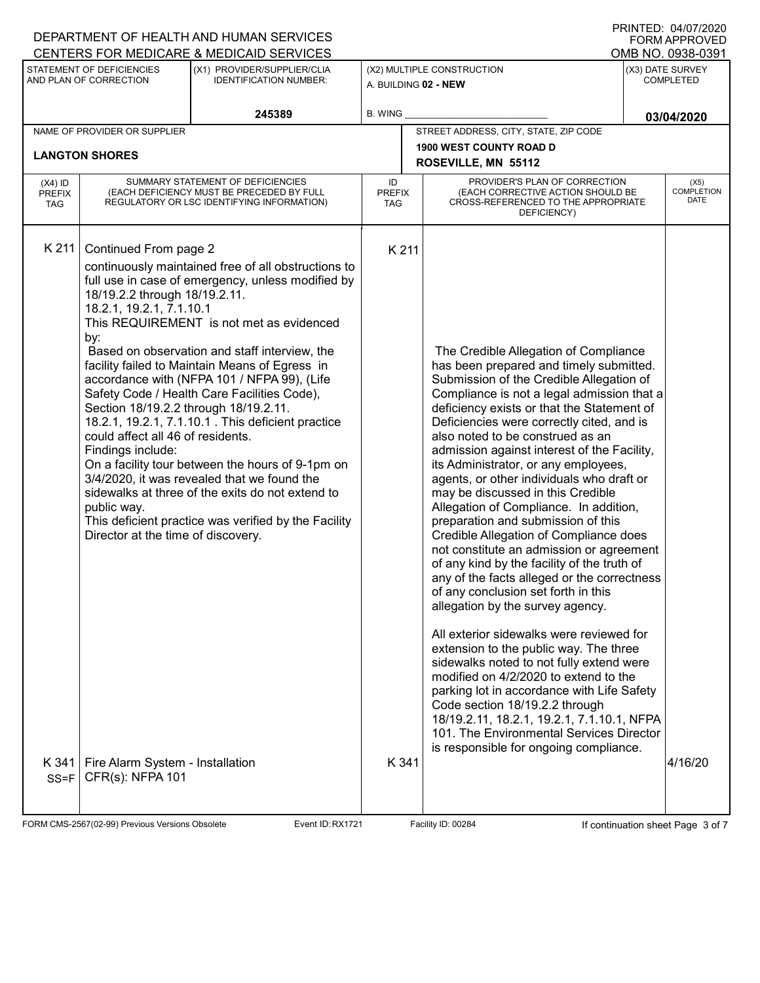| I ININTED. UHUITZUZU<br>DEPARTMENT OF HEALTH AND HUMAN SERVICES<br><b>FORM APPROVED</b> |                                                                                                                                                                                                                                                                                       |                                                                                                                                                                                                                                                                                                                                                                                                                                                                                                                                                                                                                            |                                   |                     |                                                                                                                                                                                                                                                                                                                                                                                                                                                                                                                                                                                                                                                                                                                                                                                                                                                                                                                                                                                                                                                                                                                                                                                                                                  |                                      |                                   |  |
|-----------------------------------------------------------------------------------------|---------------------------------------------------------------------------------------------------------------------------------------------------------------------------------------------------------------------------------------------------------------------------------------|----------------------------------------------------------------------------------------------------------------------------------------------------------------------------------------------------------------------------------------------------------------------------------------------------------------------------------------------------------------------------------------------------------------------------------------------------------------------------------------------------------------------------------------------------------------------------------------------------------------------------|-----------------------------------|---------------------|----------------------------------------------------------------------------------------------------------------------------------------------------------------------------------------------------------------------------------------------------------------------------------------------------------------------------------------------------------------------------------------------------------------------------------------------------------------------------------------------------------------------------------------------------------------------------------------------------------------------------------------------------------------------------------------------------------------------------------------------------------------------------------------------------------------------------------------------------------------------------------------------------------------------------------------------------------------------------------------------------------------------------------------------------------------------------------------------------------------------------------------------------------------------------------------------------------------------------------|--------------------------------------|-----------------------------------|--|
|                                                                                         |                                                                                                                                                                                                                                                                                       | CENTERS FOR MEDICARE & MEDICAID SERVICES                                                                                                                                                                                                                                                                                                                                                                                                                                                                                                                                                                                   |                                   |                     |                                                                                                                                                                                                                                                                                                                                                                                                                                                                                                                                                                                                                                                                                                                                                                                                                                                                                                                                                                                                                                                                                                                                                                                                                                  |                                      | OMB NO. 0938-0391                 |  |
|                                                                                         | STATEMENT OF DEFICIENCIES<br>AND PLAN OF CORRECTION                                                                                                                                                                                                                                   | (X1) PROVIDER/SUPPLIER/CLIA<br><b>IDENTIFICATION NUMBER:</b>                                                                                                                                                                                                                                                                                                                                                                                                                                                                                                                                                               | A. BUILDING 02 - NEW              |                     | (X2) MULTIPLE CONSTRUCTION                                                                                                                                                                                                                                                                                                                                                                                                                                                                                                                                                                                                                                                                                                                                                                                                                                                                                                                                                                                                                                                                                                                                                                                                       | (X3) DATE SURVEY<br><b>COMPLETED</b> |                                   |  |
|                                                                                         |                                                                                                                                                                                                                                                                                       | 245389                                                                                                                                                                                                                                                                                                                                                                                                                                                                                                                                                                                                                     | <b>B. WING</b>                    |                     |                                                                                                                                                                                                                                                                                                                                                                                                                                                                                                                                                                                                                                                                                                                                                                                                                                                                                                                                                                                                                                                                                                                                                                                                                                  |                                      | 03/04/2020                        |  |
|                                                                                         | NAME OF PROVIDER OR SUPPLIER                                                                                                                                                                                                                                                          |                                                                                                                                                                                                                                                                                                                                                                                                                                                                                                                                                                                                                            |                                   |                     | STREET ADDRESS, CITY, STATE, ZIP CODE                                                                                                                                                                                                                                                                                                                                                                                                                                                                                                                                                                                                                                                                                                                                                                                                                                                                                                                                                                                                                                                                                                                                                                                            |                                      |                                   |  |
|                                                                                         | <b>LANGTON SHORES</b>                                                                                                                                                                                                                                                                 |                                                                                                                                                                                                                                                                                                                                                                                                                                                                                                                                                                                                                            |                                   |                     | <b>1900 WEST COUNTY ROAD D</b>                                                                                                                                                                                                                                                                                                                                                                                                                                                                                                                                                                                                                                                                                                                                                                                                                                                                                                                                                                                                                                                                                                                                                                                                   |                                      |                                   |  |
|                                                                                         |                                                                                                                                                                                                                                                                                       |                                                                                                                                                                                                                                                                                                                                                                                                                                                                                                                                                                                                                            |                                   | ROSEVILLE, MN 55112 |                                                                                                                                                                                                                                                                                                                                                                                                                                                                                                                                                                                                                                                                                                                                                                                                                                                                                                                                                                                                                                                                                                                                                                                                                                  |                                      |                                   |  |
| $(X4)$ ID<br><b>PREFIX</b><br><b>TAG</b>                                                | SUMMARY STATEMENT OF DEFICIENCIES<br>(EACH DEFICIENCY MUST BE PRECEDED BY FULL<br>REGULATORY OR LSC IDENTIFYING INFORMATION)                                                                                                                                                          |                                                                                                                                                                                                                                                                                                                                                                                                                                                                                                                                                                                                                            | ID<br><b>PREFIX</b><br><b>TAG</b> |                     | PROVIDER'S PLAN OF CORRECTION<br>(EACH CORRECTIVE ACTION SHOULD BE<br>CROSS-REFERENCED TO THE APPROPRIATE<br>DEFICIENCY)                                                                                                                                                                                                                                                                                                                                                                                                                                                                                                                                                                                                                                                                                                                                                                                                                                                                                                                                                                                                                                                                                                         |                                      | (X5)<br><b>COMPLETION</b><br>DATE |  |
| K 211<br>K341                                                                           | Continued From page 2<br>18/19.2.2 through 18/19.2.11.<br>18.2.1, 19.2.1, 7.1.10.1<br>by:<br>Section 18/19.2.2 through 18/19.2.11.<br>could affect all 46 of residents.<br>Findings include:<br>public way.<br>Director at the time of discovery.<br>Fire Alarm System - Installation | continuously maintained free of all obstructions to<br>full use in case of emergency, unless modified by<br>This REQUIREMENT is not met as evidenced<br>Based on observation and staff interview, the<br>facility failed to Maintain Means of Egress in<br>accordance with (NFPA 101 / NFPA 99), (Life<br>Safety Code / Health Care Facilities Code),<br>18.2.1, 19.2.1, 7.1.10.1 . This deficient practice<br>On a facility tour between the hours of 9-1pm on<br>3/4/2020, it was revealed that we found the<br>sidewalks at three of the exits do not extend to<br>This deficient practice was verified by the Facility | K 211<br>K 341                    |                     | The Credible Allegation of Compliance<br>has been prepared and timely submitted.<br>Submission of the Credible Allegation of<br>Compliance is not a legal admission that a<br>deficiency exists or that the Statement of<br>Deficiencies were correctly cited, and is<br>also noted to be construed as an<br>admission against interest of the Facility,<br>its Administrator, or any employees,<br>agents, or other individuals who draft or<br>may be discussed in this Credible<br>Allegation of Compliance. In addition,<br>preparation and submission of this<br>Credible Allegation of Compliance does<br>not constitute an admission or agreement<br>of any kind by the facility of the truth of<br>any of the facts alleged or the correctness<br>of any conclusion set forth in this<br>allegation by the survey agency.<br>All exterior sidewalks were reviewed for<br>extension to the public way. The three<br>sidewalks noted to not fully extend were<br>modified on 4/2/2020 to extend to the<br>parking lot in accordance with Life Safety<br>Code section 18/19.2.2 through<br>18/19.2.11, 18.2.1, 19.2.1, 7.1.10.1, NFPA<br>101. The Environmental Services Director<br>is responsible for ongoing compliance. |                                      | 4/16/20                           |  |
| $SS = F$                                                                                | CFR(s): NFPA 101                                                                                                                                                                                                                                                                      |                                                                                                                                                                                                                                                                                                                                                                                                                                                                                                                                                                                                                            |                                   |                     |                                                                                                                                                                                                                                                                                                                                                                                                                                                                                                                                                                                                                                                                                                                                                                                                                                                                                                                                                                                                                                                                                                                                                                                                                                  |                                      |                                   |  |

FORM CMS-2567(02-99) Previous Versions Obsolete **Recent ID: RX1721** Event ID: RX1721 Facility ID: 00284 If continuation sheet Page 3 of 7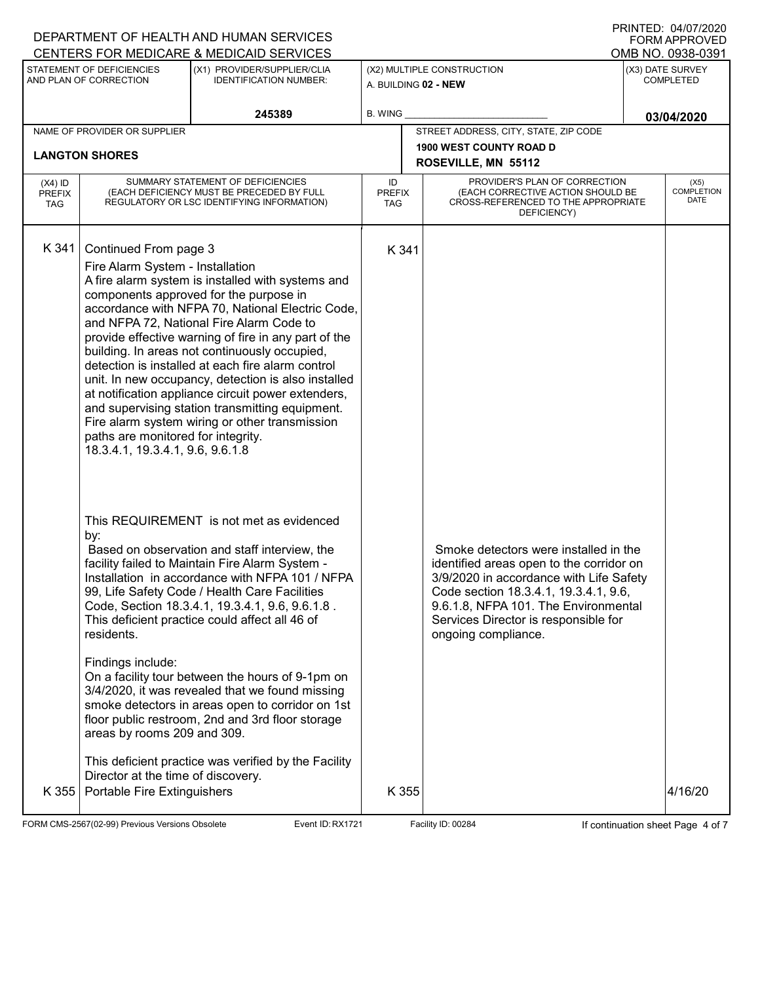|                             |                                    | DEPARTMENT OF HEALTH AND HUMAN SERVICES<br>CENTERS FOR MEDICARE & MEDICAID SERVICES                       | PRINTED: 04/07/2020<br><b>FORM APPROVED</b><br>OMB NO. 0938-0391 |  |                                                                                         |  |                           |  |
|-----------------------------|------------------------------------|-----------------------------------------------------------------------------------------------------------|------------------------------------------------------------------|--|-----------------------------------------------------------------------------------------|--|---------------------------|--|
|                             | STATEMENT OF DEFICIENCIES          | (X1) PROVIDER/SUPPLIER/CLIA                                                                               |                                                                  |  | (X2) MULTIPLE CONSTRUCTION                                                              |  | (X3) DATE SURVEY          |  |
|                             | AND PLAN OF CORRECTION             | <b>IDENTIFICATION NUMBER:</b>                                                                             | A. BUILDING 02 - NEW                                             |  |                                                                                         |  | <b>COMPLETED</b>          |  |
|                             |                                    | 245389                                                                                                    | <b>B. WING</b>                                                   |  |                                                                                         |  | 03/04/2020                |  |
|                             | NAME OF PROVIDER OR SUPPLIER       |                                                                                                           |                                                                  |  | STREET ADDRESS, CITY, STATE, ZIP CODE                                                   |  |                           |  |
|                             | <b>LANGTON SHORES</b>              |                                                                                                           |                                                                  |  | <b>1900 WEST COUNTY ROAD D</b><br>ROSEVILLE, MN 55112                                   |  |                           |  |
| $(X4)$ ID                   |                                    | SUMMARY STATEMENT OF DEFICIENCIES                                                                         | ID                                                               |  | PROVIDER'S PLAN OF CORRECTION                                                           |  | (X5)                      |  |
| <b>PREFIX</b><br><b>TAG</b> |                                    | (EACH DEFICIENCY MUST BE PRECEDED BY FULL<br>REGULATORY OR LSC IDENTIFYING INFORMATION)                   | <b>PREFIX</b><br><b>TAG</b>                                      |  | (EACH CORRECTIVE ACTION SHOULD BE<br>CROSS-REFERENCED TO THE APPROPRIATE<br>DEFICIENCY) |  | <b>COMPLETION</b><br>DATE |  |
| K 341                       | Continued From page 3              |                                                                                                           | K 341                                                            |  |                                                                                         |  |                           |  |
|                             | Fire Alarm System - Installation   |                                                                                                           |                                                                  |  |                                                                                         |  |                           |  |
|                             |                                    | A fire alarm system is installed with systems and                                                         |                                                                  |  |                                                                                         |  |                           |  |
|                             |                                    | components approved for the purpose in<br>accordance with NFPA 70, National Electric Code,                |                                                                  |  |                                                                                         |  |                           |  |
|                             |                                    | and NFPA 72, National Fire Alarm Code to                                                                  |                                                                  |  |                                                                                         |  |                           |  |
|                             |                                    | provide effective warning of fire in any part of the<br>building. In areas not continuously occupied,     |                                                                  |  |                                                                                         |  |                           |  |
|                             |                                    | detection is installed at each fire alarm control                                                         |                                                                  |  |                                                                                         |  |                           |  |
|                             |                                    | unit. In new occupancy, detection is also installed<br>at notification appliance circuit power extenders, |                                                                  |  |                                                                                         |  |                           |  |
|                             |                                    | and supervising station transmitting equipment.<br>Fire alarm system wiring or other transmission         |                                                                  |  |                                                                                         |  |                           |  |
|                             | paths are monitored for integrity. |                                                                                                           |                                                                  |  |                                                                                         |  |                           |  |
|                             | 18.3.4.1, 19.3.4.1, 9.6, 9.6.1.8   |                                                                                                           |                                                                  |  |                                                                                         |  |                           |  |
|                             |                                    |                                                                                                           |                                                                  |  |                                                                                         |  |                           |  |
|                             |                                    |                                                                                                           |                                                                  |  |                                                                                         |  |                           |  |
|                             | by:                                | This REQUIREMENT is not met as evidenced                                                                  |                                                                  |  |                                                                                         |  |                           |  |
|                             |                                    | Based on observation and staff interview, the                                                             |                                                                  |  | Smoke detectors were installed in the                                                   |  |                           |  |
|                             |                                    | facility failed to Maintain Fire Alarm System -<br>Installation in accordance with NFPA 101 / NFPA        |                                                                  |  | identified areas open to the corridor on<br>3/9/2020 in accordance with Life Safety     |  |                           |  |
|                             |                                    | 99, Life Safety Code / Health Care Facilities                                                             |                                                                  |  | Code section 18.3.4.1, 19.3.4.1, 9.6,                                                   |  |                           |  |
|                             |                                    | Code, Section 18.3.4.1, 19.3.4.1, 9.6, 9.6.1.8.<br>This deficient practice could affect all 46 of         |                                                                  |  | 9.6.1.8, NFPA 101. The Environmental<br>Services Director is responsible for            |  |                           |  |
|                             | residents.                         |                                                                                                           |                                                                  |  | ongoing compliance.                                                                     |  |                           |  |
|                             | Findings include:                  |                                                                                                           |                                                                  |  |                                                                                         |  |                           |  |
|                             |                                    | On a facility tour between the hours of 9-1pm on<br>3/4/2020, it was revealed that we found missing       |                                                                  |  |                                                                                         |  |                           |  |
|                             |                                    | smoke detectors in areas open to corridor on 1st                                                          |                                                                  |  |                                                                                         |  |                           |  |
|                             | areas by rooms 209 and 309.        | floor public restroom, 2nd and 3rd floor storage                                                          |                                                                  |  |                                                                                         |  |                           |  |
|                             |                                    |                                                                                                           |                                                                  |  |                                                                                         |  |                           |  |
|                             | Director at the time of discovery. | This deficient practice was verified by the Facility                                                      |                                                                  |  |                                                                                         |  |                           |  |
| K 355                       | Portable Fire Extinguishers        |                                                                                                           | K 355                                                            |  |                                                                                         |  | 4/16/20                   |  |
|                             |                                    |                                                                                                           |                                                                  |  |                                                                                         |  |                           |  |

FORM CMS-2567(02-99) Previous Versions Obsolete **Reading Event ID: RX1721** Facility ID: 00284 If continuation sheet Page 4 of 7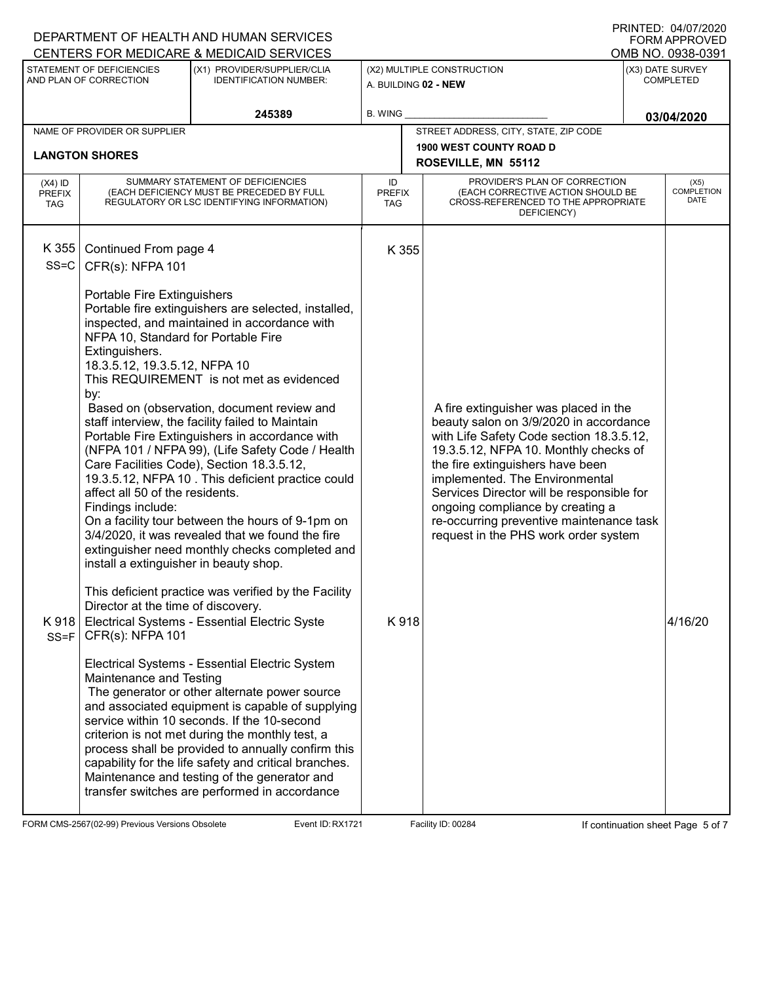| PRINTED: 04/07/2020<br>DEPARTMENT OF HEALTH AND HUMAN SERVICES<br><b>FORM APPROVED</b><br>CENTERS FOR MEDICARE & MEDICAID SERVICES<br>OMB NO. 0938-0391 |                                                                                                                                                                                                                                                                                                                     |                                                                                                                                                                                                                                                                                                                                                                                                                                                                                                                                                                                                                                                                                                                                                                                                                                                                                                                                                                                                                                                                                                                                                                                                         |                                   |                                                                                                                                                                                                                                                                                                                                                                                                                 |                                          |  |  |  |
|---------------------------------------------------------------------------------------------------------------------------------------------------------|---------------------------------------------------------------------------------------------------------------------------------------------------------------------------------------------------------------------------------------------------------------------------------------------------------------------|---------------------------------------------------------------------------------------------------------------------------------------------------------------------------------------------------------------------------------------------------------------------------------------------------------------------------------------------------------------------------------------------------------------------------------------------------------------------------------------------------------------------------------------------------------------------------------------------------------------------------------------------------------------------------------------------------------------------------------------------------------------------------------------------------------------------------------------------------------------------------------------------------------------------------------------------------------------------------------------------------------------------------------------------------------------------------------------------------------------------------------------------------------------------------------------------------------|-----------------------------------|-----------------------------------------------------------------------------------------------------------------------------------------------------------------------------------------------------------------------------------------------------------------------------------------------------------------------------------------------------------------------------------------------------------------|------------------------------------------|--|--|--|
|                                                                                                                                                         | STATEMENT OF DEFICIENCIES<br>AND PLAN OF CORRECTION                                                                                                                                                                                                                                                                 | (X1) PROVIDER/SUPPLIER/CLIA<br><b>IDENTIFICATION NUMBER:</b>                                                                                                                                                                                                                                                                                                                                                                                                                                                                                                                                                                                                                                                                                                                                                                                                                                                                                                                                                                                                                                                                                                                                            |                                   | (X3) DATE SURVEY<br>(X2) MULTIPLE CONSTRUCTION<br><b>COMPLETED</b><br>A. BUILDING 02 - NEW                                                                                                                                                                                                                                                                                                                      |                                          |  |  |  |
|                                                                                                                                                         |                                                                                                                                                                                                                                                                                                                     | 245389                                                                                                                                                                                                                                                                                                                                                                                                                                                                                                                                                                                                                                                                                                                                                                                                                                                                                                                                                                                                                                                                                                                                                                                                  | B. WING                           |                                                                                                                                                                                                                                                                                                                                                                                                                 | 03/04/2020                               |  |  |  |
|                                                                                                                                                         | NAME OF PROVIDER OR SUPPLIER                                                                                                                                                                                                                                                                                        |                                                                                                                                                                                                                                                                                                                                                                                                                                                                                                                                                                                                                                                                                                                                                                                                                                                                                                                                                                                                                                                                                                                                                                                                         |                                   | STREET ADDRESS, CITY, STATE, ZIP CODE                                                                                                                                                                                                                                                                                                                                                                           |                                          |  |  |  |
|                                                                                                                                                         | <b>LANGTON SHORES</b>                                                                                                                                                                                                                                                                                               |                                                                                                                                                                                                                                                                                                                                                                                                                                                                                                                                                                                                                                                                                                                                                                                                                                                                                                                                                                                                                                                                                                                                                                                                         |                                   | <b>1900 WEST COUNTY ROAD D</b>                                                                                                                                                                                                                                                                                                                                                                                  |                                          |  |  |  |
|                                                                                                                                                         |                                                                                                                                                                                                                                                                                                                     |                                                                                                                                                                                                                                                                                                                                                                                                                                                                                                                                                                                                                                                                                                                                                                                                                                                                                                                                                                                                                                                                                                                                                                                                         |                                   | ROSEVILLE, MN 55112                                                                                                                                                                                                                                                                                                                                                                                             |                                          |  |  |  |
| $(X4)$ ID<br><b>PREFIX</b><br><b>TAG</b>                                                                                                                |                                                                                                                                                                                                                                                                                                                     | SUMMARY STATEMENT OF DEFICIENCIES<br>(EACH DEFICIENCY MUST BE PRECEDED BY FULL<br>REGULATORY OR LSC IDENTIFYING INFORMATION)                                                                                                                                                                                                                                                                                                                                                                                                                                                                                                                                                                                                                                                                                                                                                                                                                                                                                                                                                                                                                                                                            | ID<br><b>PREFIX</b><br><b>TAG</b> | PROVIDER'S PLAN OF CORRECTION<br>(EACH CORRECTIVE ACTION SHOULD BE<br>CROSS-REFERENCED TO THE APPROPRIATE<br>DEFICIENCY)                                                                                                                                                                                                                                                                                        | (X5)<br><b>COMPLETION</b><br><b>DATE</b> |  |  |  |
| K 355<br>$SS = C$                                                                                                                                       | Continued From page 4<br>CFR(s): NFPA 101                                                                                                                                                                                                                                                                           |                                                                                                                                                                                                                                                                                                                                                                                                                                                                                                                                                                                                                                                                                                                                                                                                                                                                                                                                                                                                                                                                                                                                                                                                         | K 355                             |                                                                                                                                                                                                                                                                                                                                                                                                                 |                                          |  |  |  |
| K 918<br>$SS = F$                                                                                                                                       | Portable Fire Extinguishers<br>NFPA 10, Standard for Portable Fire<br>Extinguishers.<br>18.3.5.12, 19.3.5.12, NFPA 10<br>by:<br>affect all 50 of the residents.<br>Findings include:<br>install a extinguisher in beauty shop.<br>Director at the time of discovery.<br>CFR(s): NFPA 101<br>Maintenance and Testing | Portable fire extinguishers are selected, installed,<br>inspected, and maintained in accordance with<br>This REQUIREMENT is not met as evidenced<br>Based on (observation, document review and<br>staff interview, the facility failed to Maintain<br>Portable Fire Extinguishers in accordance with<br>(NFPA 101 / NFPA 99), (Life Safety Code / Health<br>Care Facilities Code), Section 18.3.5.12,<br>19.3.5.12, NFPA 10 . This deficient practice could<br>On a facility tour between the hours of 9-1pm on<br>3/4/2020, it was revealed that we found the fire<br>extinguisher need monthly checks completed and<br>This deficient practice was verified by the Facility<br>Electrical Systems - Essential Electric Syste<br>Electrical Systems - Essential Electric System<br>The generator or other alternate power source<br>and associated equipment is capable of supplying<br>service within 10 seconds. If the 10-second<br>criterion is not met during the monthly test, a<br>process shall be provided to annually confirm this<br>capability for the life safety and critical branches.<br>Maintenance and testing of the generator and<br>transfer switches are performed in accordance | K918                              | A fire extinguisher was placed in the<br>beauty salon on 3/9/2020 in accordance<br>with Life Safety Code section 18.3.5.12,<br>19.3.5.12, NFPA 10. Monthly checks of<br>the fire extinguishers have been<br>implemented. The Environmental<br>Services Director will be responsible for<br>ongoing compliance by creating a<br>re-occurring preventive maintenance task<br>request in the PHS work order system | 4/16/20                                  |  |  |  |

FORM CMS-2567(02-99) Previous Versions Obsolete **Reading Event ID: RX1721** Facility ID: 00284 If continuation sheet Page 5 of 7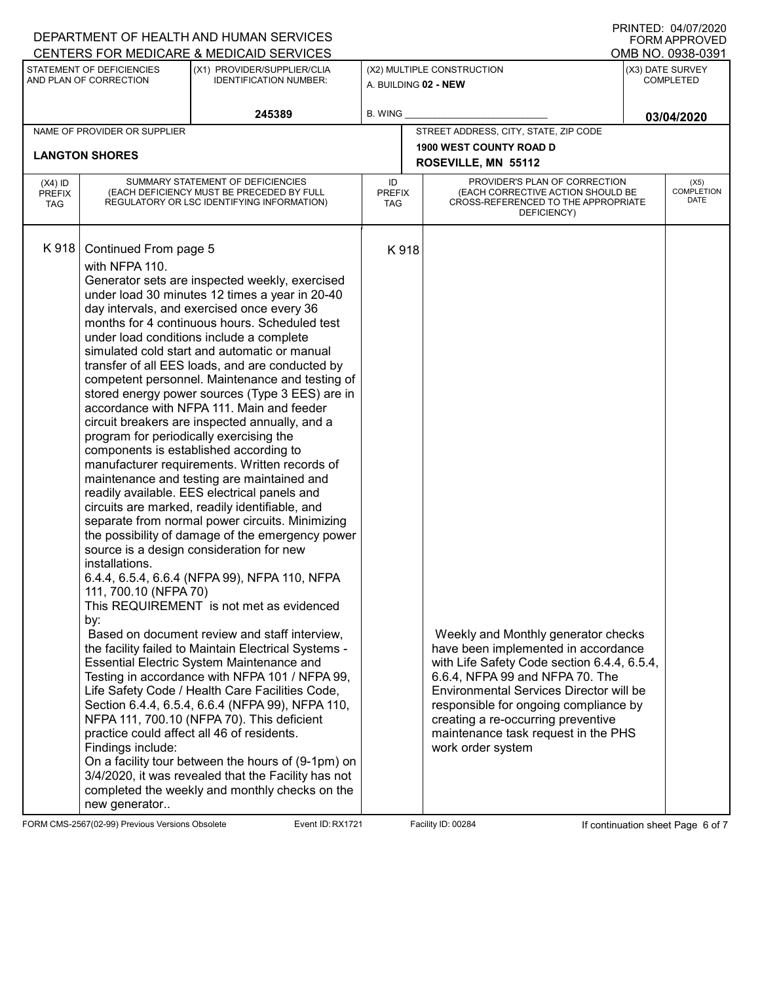| I ININTED. UHUITZUZU<br>DEPARTMENT OF HEALTH AND HUMAN SERVICES<br><b>FORM APPROVED</b><br>CENTERS FOR MEDICARE & MEDICAID SERVICES<br>OMB NO. 0938-0391 |                                                                                                                                                                            |                                                                                                                                                                                                                                                                                                                                                                                                                                                                                                                                                                                                                                                                                                                                                                                                                                                                                                                                                                                                                                                                                                                                                                                                                                                                                                                                                                                                                                                                                                                                                                                                                          |                                                    |      |                                                                                                                                                                                                                                                                                                                                                    |                                      |                                   |  |
|----------------------------------------------------------------------------------------------------------------------------------------------------------|----------------------------------------------------------------------------------------------------------------------------------------------------------------------------|--------------------------------------------------------------------------------------------------------------------------------------------------------------------------------------------------------------------------------------------------------------------------------------------------------------------------------------------------------------------------------------------------------------------------------------------------------------------------------------------------------------------------------------------------------------------------------------------------------------------------------------------------------------------------------------------------------------------------------------------------------------------------------------------------------------------------------------------------------------------------------------------------------------------------------------------------------------------------------------------------------------------------------------------------------------------------------------------------------------------------------------------------------------------------------------------------------------------------------------------------------------------------------------------------------------------------------------------------------------------------------------------------------------------------------------------------------------------------------------------------------------------------------------------------------------------------------------------------------------------------|----------------------------------------------------|------|----------------------------------------------------------------------------------------------------------------------------------------------------------------------------------------------------------------------------------------------------------------------------------------------------------------------------------------------------|--------------------------------------|-----------------------------------|--|
|                                                                                                                                                          |                                                                                                                                                                            |                                                                                                                                                                                                                                                                                                                                                                                                                                                                                                                                                                                                                                                                                                                                                                                                                                                                                                                                                                                                                                                                                                                                                                                                                                                                                                                                                                                                                                                                                                                                                                                                                          |                                                    |      |                                                                                                                                                                                                                                                                                                                                                    |                                      |                                   |  |
|                                                                                                                                                          | STATEMENT OF DEFICIENCIES<br>AND PLAN OF CORRECTION                                                                                                                        | (X1) PROVIDER/SUPPLIER/CLIA<br><b>IDENTIFICATION NUMBER:</b>                                                                                                                                                                                                                                                                                                                                                                                                                                                                                                                                                                                                                                                                                                                                                                                                                                                                                                                                                                                                                                                                                                                                                                                                                                                                                                                                                                                                                                                                                                                                                             | (X2) MULTIPLE CONSTRUCTION<br>A. BUILDING 02 - NEW |      |                                                                                                                                                                                                                                                                                                                                                    | (X3) DATE SURVEY<br><b>COMPLETED</b> |                                   |  |
|                                                                                                                                                          |                                                                                                                                                                            | 245389                                                                                                                                                                                                                                                                                                                                                                                                                                                                                                                                                                                                                                                                                                                                                                                                                                                                                                                                                                                                                                                                                                                                                                                                                                                                                                                                                                                                                                                                                                                                                                                                                   | <b>B. WING</b>                                     |      |                                                                                                                                                                                                                                                                                                                                                    |                                      | 03/04/2020                        |  |
|                                                                                                                                                          | NAME OF PROVIDER OR SUPPLIER                                                                                                                                               |                                                                                                                                                                                                                                                                                                                                                                                                                                                                                                                                                                                                                                                                                                                                                                                                                                                                                                                                                                                                                                                                                                                                                                                                                                                                                                                                                                                                                                                                                                                                                                                                                          |                                                    |      | STREET ADDRESS, CITY, STATE, ZIP CODE                                                                                                                                                                                                                                                                                                              |                                      |                                   |  |
|                                                                                                                                                          | <b>LANGTON SHORES</b>                                                                                                                                                      |                                                                                                                                                                                                                                                                                                                                                                                                                                                                                                                                                                                                                                                                                                                                                                                                                                                                                                                                                                                                                                                                                                                                                                                                                                                                                                                                                                                                                                                                                                                                                                                                                          |                                                    |      | <b>1900 WEST COUNTY ROAD D</b>                                                                                                                                                                                                                                                                                                                     |                                      |                                   |  |
|                                                                                                                                                          |                                                                                                                                                                            |                                                                                                                                                                                                                                                                                                                                                                                                                                                                                                                                                                                                                                                                                                                                                                                                                                                                                                                                                                                                                                                                                                                                                                                                                                                                                                                                                                                                                                                                                                                                                                                                                          |                                                    |      | ROSEVILLE, MN 55112                                                                                                                                                                                                                                                                                                                                |                                      |                                   |  |
| $(X4)$ ID<br><b>PREFIX</b><br><b>TAG</b>                                                                                                                 | SUMMARY STATEMENT OF DEFICIENCIES<br>(EACH DEFICIENCY MUST BE PRECEDED BY FULL<br>REGULATORY OR LSC IDENTIFYING INFORMATION)                                               |                                                                                                                                                                                                                                                                                                                                                                                                                                                                                                                                                                                                                                                                                                                                                                                                                                                                                                                                                                                                                                                                                                                                                                                                                                                                                                                                                                                                                                                                                                                                                                                                                          | ID<br><b>PREFIX</b><br><b>TAG</b>                  |      | PROVIDER'S PLAN OF CORRECTION<br>(EACH CORRECTIVE ACTION SHOULD BE<br>CROSS-REFERENCED TO THE APPROPRIATE<br>DEFICIENCY)                                                                                                                                                                                                                           |                                      | (X5)<br>COMPLETION<br><b>DATE</b> |  |
| K918                                                                                                                                                     | Continued From page 5<br>with NFPA 110.<br>program for periodically exercising the<br>installations.<br>111, 700.10 (NFPA 70)<br>by:<br>Findings include:<br>new generator | Generator sets are inspected weekly, exercised<br>under load 30 minutes 12 times a year in 20-40<br>day intervals, and exercised once every 36<br>months for 4 continuous hours. Scheduled test<br>under load conditions include a complete<br>simulated cold start and automatic or manual<br>transfer of all EES loads, and are conducted by<br>competent personnel. Maintenance and testing of<br>stored energy power sources (Type 3 EES) are in<br>accordance with NFPA 111. Main and feeder<br>circuit breakers are inspected annually, and a<br>components is established according to<br>manufacturer requirements. Written records of<br>maintenance and testing are maintained and<br>readily available. EES electrical panels and<br>circuits are marked, readily identifiable, and<br>separate from normal power circuits. Minimizing<br>the possibility of damage of the emergency power<br>source is a design consideration for new<br>6.4.4, 6.5.4, 6.6.4 (NFPA 99), NFPA 110, NFPA<br>This REQUIREMENT is not met as evidenced<br>Based on document review and staff interview,<br>the facility failed to Maintain Electrical Systems -<br>Essential Electric System Maintenance and<br>Testing in accordance with NFPA 101 / NFPA 99,<br>Life Safety Code / Health Care Facilities Code,<br>Section 6.4.4, 6.5.4, 6.6.4 (NFPA 99), NFPA 110,<br>NFPA 111, 700.10 (NFPA 70). This deficient<br>practice could affect all 46 of residents.<br>On a facility tour between the hours of (9-1pm) on<br>3/4/2020, it was revealed that the Facility has not<br>completed the weekly and monthly checks on the |                                                    | K918 | Weekly and Monthly generator checks<br>have been implemented in accordance<br>with Life Safety Code section 6.4.4, 6.5.4,<br>6.6.4, NFPA 99 and NFPA 70. The<br>Environmental Services Director will be<br>responsible for ongoing compliance by<br>creating a re-occurring preventive<br>maintenance task request in the PHS<br>work order system |                                      |                                   |  |

FORM CMS-2567(02-99) Previous Versions Obsolete **Reading Line Continuation Sheet Page 6 of 7** Event ID: RX1721 Reading ID: 00284 If continuation sheet Page 6 of 7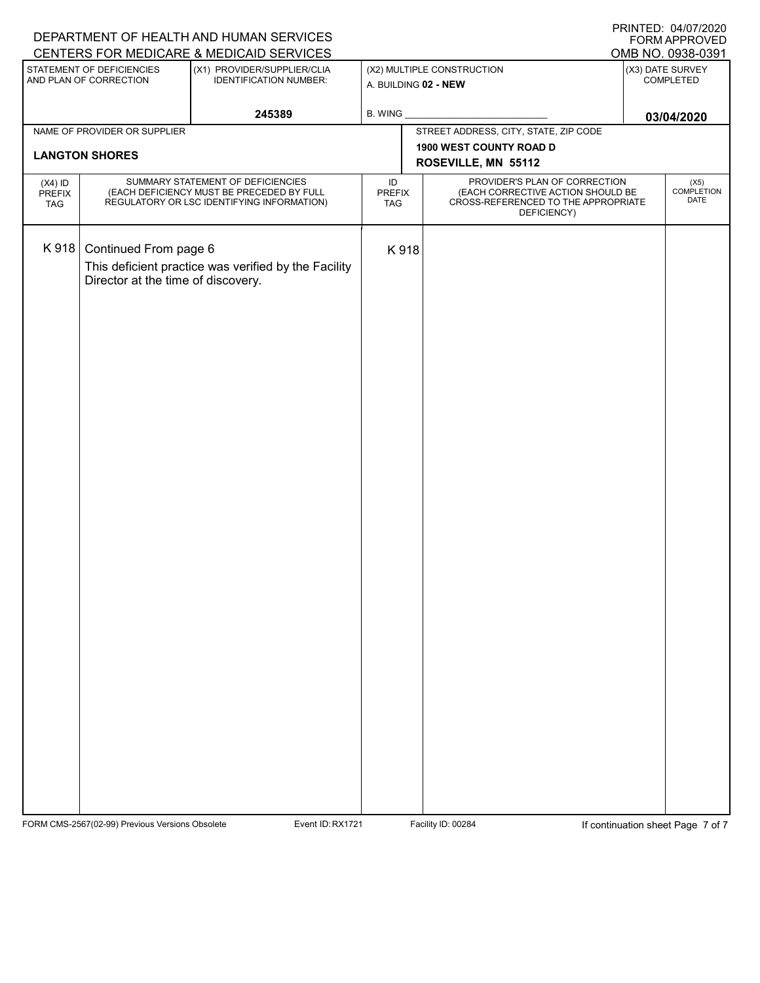|                                                                                                                     | $\overline{1}$ INTITLD. $U + \overline{1}U + \overline{2}UZU$<br>DEPARTMENT OF HEALTH AND HUMAN SERVICES<br>FORM APPROVED    |                                                      |                                       |                               |                                                                                                                          |                                     |                   |  |
|---------------------------------------------------------------------------------------------------------------------|------------------------------------------------------------------------------------------------------------------------------|------------------------------------------------------|---------------------------------------|-------------------------------|--------------------------------------------------------------------------------------------------------------------------|-------------------------------------|-------------------|--|
|                                                                                                                     |                                                                                                                              | CENTERS FOR MEDICARE & MEDICAID SERVICES             |                                       |                               |                                                                                                                          |                                     | OMB NO. 0938-0391 |  |
| STATEMENT OF DEFICIENCIES<br>(X1) PROVIDER/SUPPLIER/CLIA<br>AND PLAN OF CORRECTION<br><b>IDENTIFICATION NUMBER:</b> |                                                                                                                              | (X2) MULTIPLE CONSTRUCTION<br>A. BUILDING 02 - NEW   |                                       | (X3) DATE SURVEY<br>COMPLETED |                                                                                                                          |                                     |                   |  |
| 245389                                                                                                              |                                                                                                                              |                                                      | <b>B. WING</b>                        |                               |                                                                                                                          |                                     | 03/04/2020        |  |
| NAME OF PROVIDER OR SUPPLIER                                                                                        |                                                                                                                              |                                                      | STREET ADDRESS, CITY, STATE, ZIP CODE |                               |                                                                                                                          |                                     |                   |  |
|                                                                                                                     | <b>LANGTON SHORES</b>                                                                                                        |                                                      | 1900 WEST COUNTY ROAD D               |                               |                                                                                                                          |                                     |                   |  |
|                                                                                                                     |                                                                                                                              |                                                      | ROSEVILLE, MN 55112                   |                               |                                                                                                                          |                                     |                   |  |
| $(X4)$ ID<br>PREFIX<br><b>TAG</b>                                                                                   | SUMMARY STATEMENT OF DEFICIENCIES<br>(EACH DEFICIENCY MUST BE PRECEDED BY FULL<br>REGULATORY OR LSC IDENTIFYING INFORMATION) |                                                      | ID<br>PREFIX<br><b>TAG</b>            |                               | PROVIDER'S PLAN OF CORRECTION<br>(EACH CORRECTIVE ACTION SHOULD BE<br>CROSS-REFERENCED TO THE APPROPRIATE<br>DEFICIENCY) | $(X5)$<br>COMPLETION<br><b>DATE</b> |                   |  |
| K 918                                                                                                               | Continued From page 6<br>Director at the time of discovery.                                                                  | This deficient practice was verified by the Facility |                                       | K918                          |                                                                                                                          |                                     |                   |  |
|                                                                                                                     |                                                                                                                              |                                                      |                                       |                               |                                                                                                                          |                                     |                   |  |

FORM CMS-2567(02-99) Previous Versions Obsolete **Recent ID: RX1721** Event ID: RX1721 Facility ID: 00284 If continuation sheet Page 7 of 7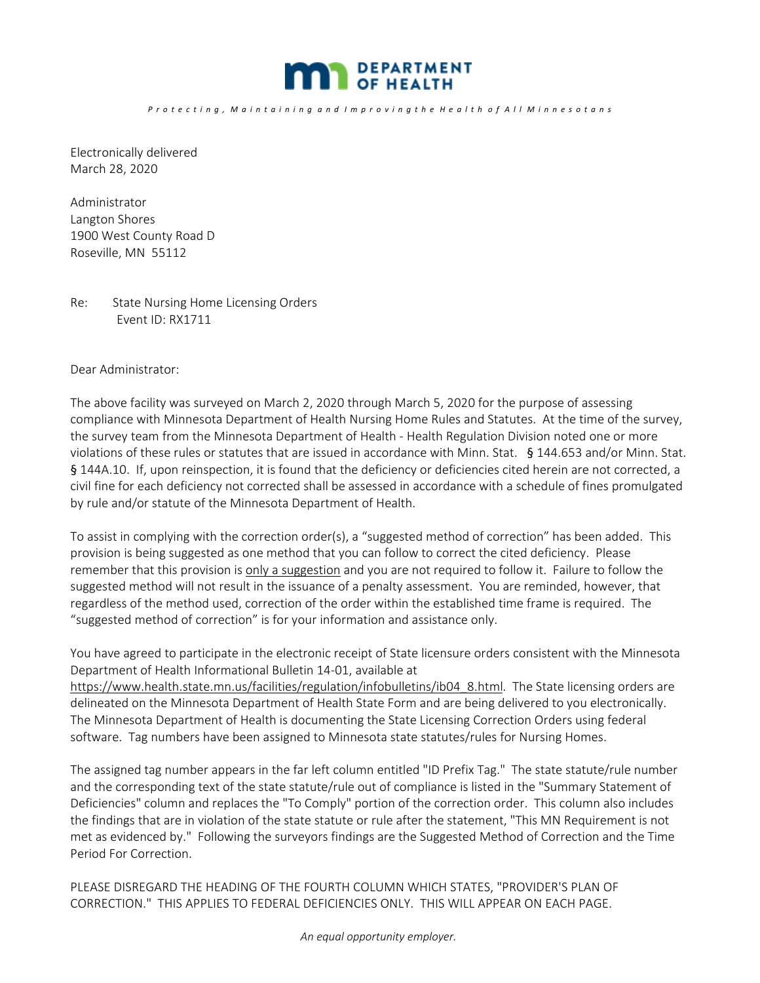

Electronically delivered March 28, 2020

Administrator Langton Shores 1900 West County Road D Roseville, MN 55112

Re: State Nursing Home Licensing Orders Event ID: RX1711

Dear Administrator:

The above facility was surveyed on March 2, 2020 through March 5, 2020 for the purpose of assessing compliance with Minnesota Department of Health Nursing Home Rules and Statutes. At the time of the survey, the survey team from the Minnesota Department of Health ‐ Health Regulation Division noted one or more violations of these rules or statutes that are issued in accordance with Minn. Stat. § 144.653 and/or Minn. Stat. § 144A.10. If, upon reinspection, it is found that the deficiency or deficiencies cited herein are not corrected, a civil fine for each deficiency not corrected shall be assessed in accordance with a schedule of fines promulgated by rule and/or statute of the Minnesota Department of Health.

To assist in complying with the correction order(s), a "suggested method of correction" has been added. This provision is being suggested as one method that you can follow to correct the cited deficiency. Please remember that this provision is only a suggestion and you are not required to follow it. Failure to follow the suggested method will not result in the issuance of a penalty assessment. You are reminded, however, that regardless of the method used, correction of the order within the established time frame is required. The "suggested method of correction" is for your information and assistance only.

You have agreed to participate in the electronic receipt of State licensure orders consistent with the Minnesota Department of Health Informational Bulletin 14‐01, available at

https://www.health.state.mn.us/facilities/regulation/infobulletins/ib04\_8.html. The State licensing orders are delineated on the Minnesota Department of Health State Form and are being delivered to you electronically. The Minnesota Department of Health is documenting the State Licensing Correction Orders using federal software. Tag numbers have been assigned to Minnesota state statutes/rules for Nursing Homes.

The assigned tag number appears in the far left column entitled "ID Prefix Tag." The state statute/rule number and the corresponding text of the state statute/rule out of compliance is listed in the "Summary Statement of Deficiencies" column and replaces the "To Comply" portion of the correction order. This column also includes the findings that are in violation of the state statute or rule after the statement, "This MN Requirement is not met as evidenced by." Following the surveyors findings are the Suggested Method of Correction and the Time Period For Correction.

PLEASE DISREGARD THE HEADING OF THE FOURTH COLUMN WHICH STATES, "PROVIDER'S PLAN OF CORRECTION." THIS APPLIES TO FEDERAL DEFICIENCIES ONLY. THIS WILL APPEAR ON EACH PAGE.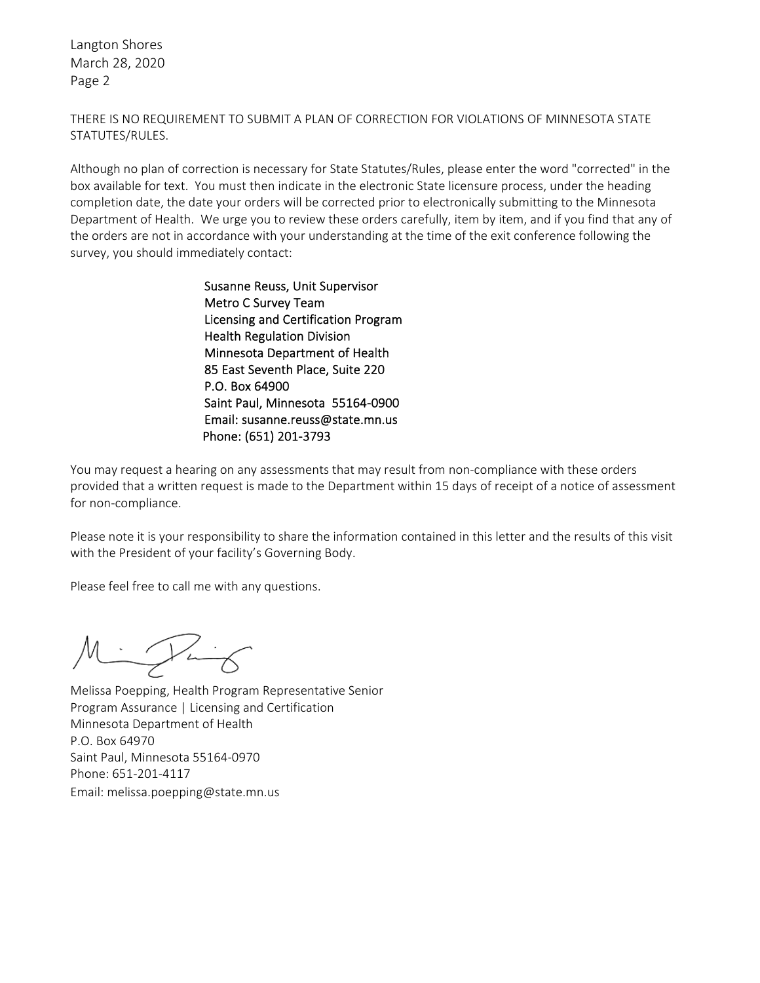Langton Shores March 28, 2020 Page 2

THERE IS NO REQUIREMENT TO SUBMIT A PLAN OF CORRECTION FOR VIOLATIONS OF MINNESOTA STATE STATUTES/RULES.

Although no plan of correction is necessary for State Statutes/Rules, please enter the word "corrected" in the box available for text. You must then indicate in the electronic State licensure process, under the heading completion date, the date your orders will be corrected prior to electronically submitting to the Minnesota Department of Health. We urge you to review these orders carefully, item by item, and if you find that any of the orders are not in accordance with your understanding at the time of the exit conference following the survey, you should immediately contact:

> Susanne Reuss, Unit Supervisor Metro C Survey Team Licensing and Certification Program Health Regulation Division Minnesota Department of Health 85 East Seventh Place, Suite 220 P.O. Box 64900 Saint Paul, Minnesota 55164‐0900 Email: susanne.reuss@state.mn.us Phone: (651) 201‐3793

You may request a hearing on any assessments that may result from non-compliance with these orders provided that a written request is made to the Department within 15 days of receipt of a notice of assessment for non‐compliance.

Please note it is your responsibility to share the information contained in this letter and the results of this visit with the President of your facility's Governing Body.

Please feel free to call me with any questions.

 $\sim$   $\sim$   $\sim$ 

Melissa Poepping, Health Program Representative Senior Program Assurance | Licensing and Certification Minnesota Department of Health P.O. Box 64970 Saint Paul, Minnesota 55164‐0970 Phone: 651‐201‐4117 Email: melissa.poepping@state.mn.us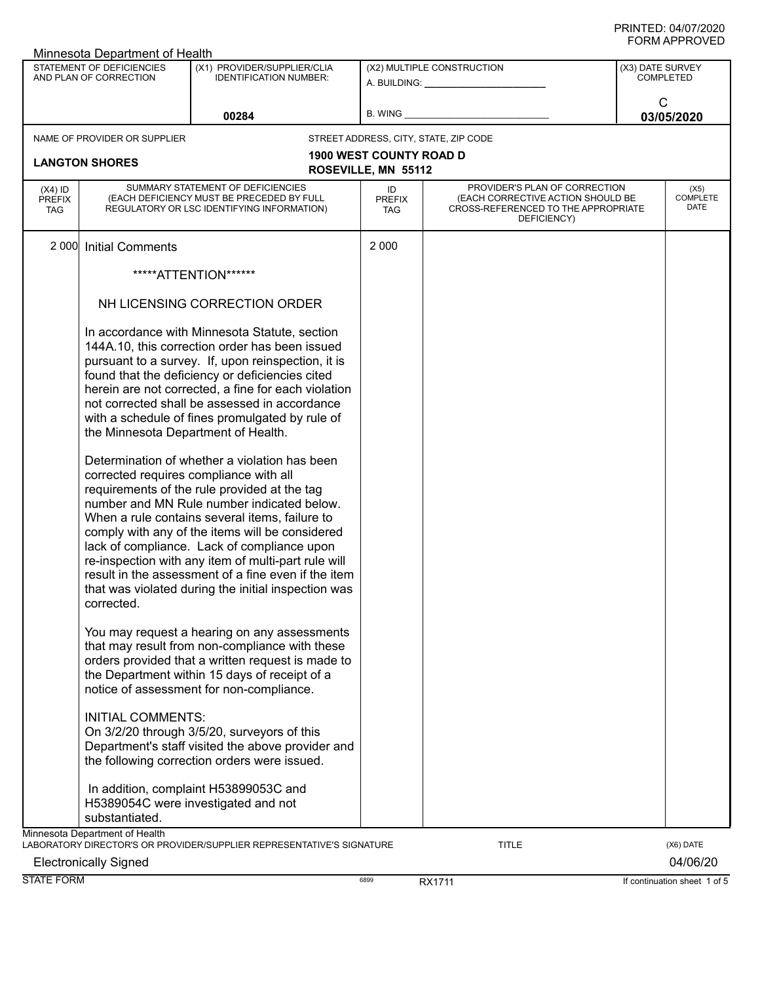|                                          | Minnesota Department of Health                      |                                                                                                                                                                                                                                                                                                                                                                                                                                                                                                                |                                                         |                                                                                                                          |                 |                                      |  |
|------------------------------------------|-----------------------------------------------------|----------------------------------------------------------------------------------------------------------------------------------------------------------------------------------------------------------------------------------------------------------------------------------------------------------------------------------------------------------------------------------------------------------------------------------------------------------------------------------------------------------------|---------------------------------------------------------|--------------------------------------------------------------------------------------------------------------------------|-----------------|--------------------------------------|--|
|                                          | STATEMENT OF DEFICIENCIES<br>AND PLAN OF CORRECTION | (X1) PROVIDER/SUPPLIER/CLIA<br><b>IDENTIFICATION NUMBER:</b>                                                                                                                                                                                                                                                                                                                                                                                                                                                   | (X2) MULTIPLE CONSTRUCTION<br>A. BUILDING: A. BUILDING: |                                                                                                                          |                 | (X3) DATE SURVEY<br><b>COMPLETED</b> |  |
|                                          |                                                     | 00284                                                                                                                                                                                                                                                                                                                                                                                                                                                                                                          |                                                         | B. WING <b>Example 20</b>                                                                                                | C<br>03/05/2020 |                                      |  |
| NAME OF PROVIDER OR SUPPLIER             |                                                     |                                                                                                                                                                                                                                                                                                                                                                                                                                                                                                                |                                                         | STREET ADDRESS, CITY, STATE, ZIP CODE                                                                                    |                 |                                      |  |
|                                          | <b>LANGTON SHORES</b>                               |                                                                                                                                                                                                                                                                                                                                                                                                                                                                                                                | 1900 WEST COUNTY ROAD D<br>ROSEVILLE, MN 55112          |                                                                                                                          |                 |                                      |  |
| $(X4)$ ID<br><b>PREFIX</b><br><b>TAG</b> |                                                     | SUMMARY STATEMENT OF DEFICIENCIES<br>(EACH DEFICIENCY MUST BE PRECEDED BY FULL<br>REGULATORY OR LSC IDENTIFYING INFORMATION)                                                                                                                                                                                                                                                                                                                                                                                   | ID<br><b>PREFIX</b><br><b>TAG</b>                       | PROVIDER'S PLAN OF CORRECTION<br>(EACH CORRECTIVE ACTION SHOULD BE<br>CROSS-REFERENCED TO THE APPROPRIATE<br>DEFICIENCY) |                 | (X5)<br>COMPLETE<br>DATE             |  |
|                                          | 2 000 Initial Comments                              |                                                                                                                                                                                                                                                                                                                                                                                                                                                                                                                | 2 0 0 0                                                 |                                                                                                                          |                 |                                      |  |
|                                          |                                                     | *****ATTENTION******                                                                                                                                                                                                                                                                                                                                                                                                                                                                                           |                                                         |                                                                                                                          |                 |                                      |  |
|                                          |                                                     | NH LICENSING CORRECTION ORDER                                                                                                                                                                                                                                                                                                                                                                                                                                                                                  |                                                         |                                                                                                                          |                 |                                      |  |
|                                          | the Minnesota Department of Health.                 | In accordance with Minnesota Statute, section<br>144A.10, this correction order has been issued<br>pursuant to a survey. If, upon reinspection, it is<br>found that the deficiency or deficiencies cited<br>herein are not corrected, a fine for each violation<br>not corrected shall be assessed in accordance<br>with a schedule of fines promulgated by rule of                                                                                                                                            |                                                         |                                                                                                                          |                 |                                      |  |
|                                          | corrected.                                          | Determination of whether a violation has been<br>corrected requires compliance with all<br>requirements of the rule provided at the tag<br>number and MN Rule number indicated below.<br>When a rule contains several items, failure to<br>comply with any of the items will be considered<br>lack of compliance. Lack of compliance upon<br>re-inspection with any item of multi-part rule will<br>result in the assessment of a fine even if the item<br>that was violated during the initial inspection was |                                                         |                                                                                                                          |                 |                                      |  |
|                                          |                                                     | You may request a hearing on any assessments<br>that may result from non-compliance with these<br>orders provided that a written request is made to<br>the Department within 15 days of receipt of a<br>notice of assessment for non-compliance.                                                                                                                                                                                                                                                               |                                                         |                                                                                                                          |                 |                                      |  |
|                                          | <b>INITIAL COMMENTS:</b>                            | On 3/2/20 through 3/5/20, surveyors of this<br>Department's staff visited the above provider and<br>the following correction orders were issued.<br>In addition, complaint H53899053C and                                                                                                                                                                                                                                                                                                                      |                                                         |                                                                                                                          |                 |                                      |  |
|                                          | substantiated.                                      | H5389054C were investigated and not                                                                                                                                                                                                                                                                                                                                                                                                                                                                            |                                                         |                                                                                                                          |                 |                                      |  |
|                                          | Minnesota Department of Health                      | LABORATORY DIRECTOR'S OR PROVIDER/SUPPLIER REPRESENTATIVE'S SIGNATURE                                                                                                                                                                                                                                                                                                                                                                                                                                          |                                                         | <b>TITLE</b>                                                                                                             |                 | (X6) DATE                            |  |
|                                          | <b>Electronically Signed</b>                        |                                                                                                                                                                                                                                                                                                                                                                                                                                                                                                                |                                                         |                                                                                                                          |                 | 04/06/20                             |  |
| <b>STATE FORM</b>                        |                                                     |                                                                                                                                                                                                                                                                                                                                                                                                                                                                                                                | 6899                                                    | RX1711                                                                                                                   |                 | If continuation sheet 1 of 5         |  |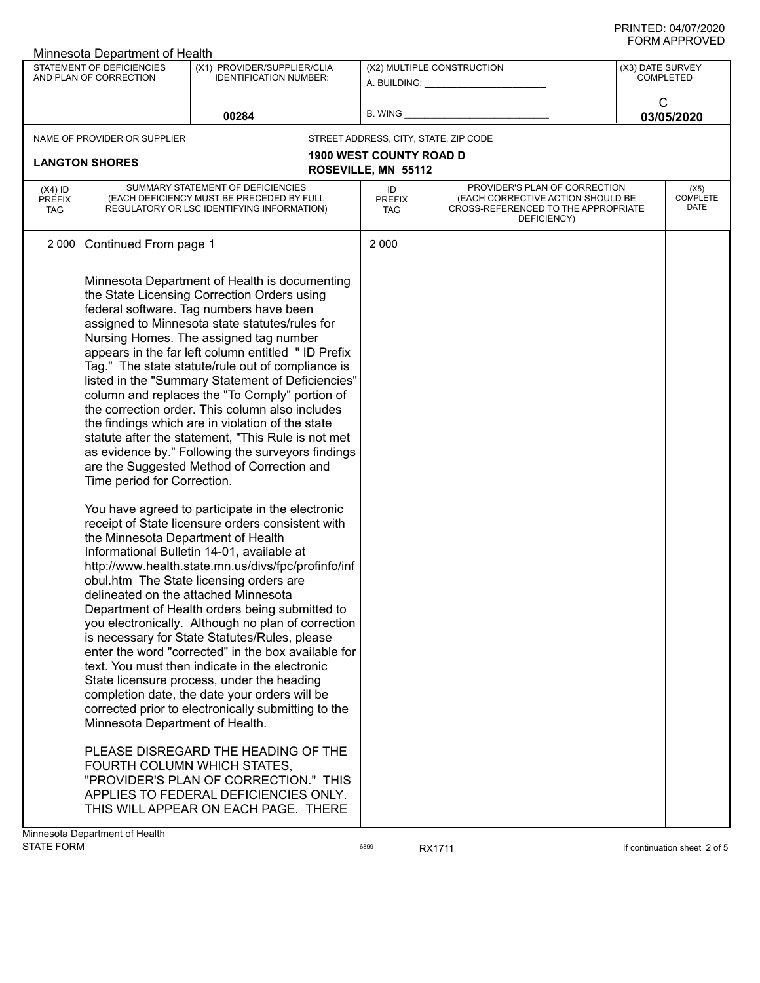|                                          | Minnesota Department of Health                                                                                                                                              |                                                                                                                                                                                                                                                                                                                                                                                                                                                                                                                                                                                                                                                                                                                                                                                                                                                                                                                                                                                                                                                                                                                                                                                                                                                                                                                                                                                                                                                                                                                                                                         |                                   |                                                                                                                          |                                      |                                 |
|------------------------------------------|-----------------------------------------------------------------------------------------------------------------------------------------------------------------------------|-------------------------------------------------------------------------------------------------------------------------------------------------------------------------------------------------------------------------------------------------------------------------------------------------------------------------------------------------------------------------------------------------------------------------------------------------------------------------------------------------------------------------------------------------------------------------------------------------------------------------------------------------------------------------------------------------------------------------------------------------------------------------------------------------------------------------------------------------------------------------------------------------------------------------------------------------------------------------------------------------------------------------------------------------------------------------------------------------------------------------------------------------------------------------------------------------------------------------------------------------------------------------------------------------------------------------------------------------------------------------------------------------------------------------------------------------------------------------------------------------------------------------------------------------------------------------|-----------------------------------|--------------------------------------------------------------------------------------------------------------------------|--------------------------------------|---------------------------------|
|                                          | STATEMENT OF DEFICIENCIES<br>AND PLAN OF CORRECTION                                                                                                                         | (X1) PROVIDER/SUPPLIER/CLIA<br><b>IDENTIFICATION NUMBER:</b>                                                                                                                                                                                                                                                                                                                                                                                                                                                                                                                                                                                                                                                                                                                                                                                                                                                                                                                                                                                                                                                                                                                                                                                                                                                                                                                                                                                                                                                                                                            | (X2) MULTIPLE CONSTRUCTION        |                                                                                                                          | (X3) DATE SURVEY<br><b>COMPLETED</b> |                                 |
| 00284                                    |                                                                                                                                                                             | <b>B. WING</b>                                                                                                                                                                                                                                                                                                                                                                                                                                                                                                                                                                                                                                                                                                                                                                                                                                                                                                                                                                                                                                                                                                                                                                                                                                                                                                                                                                                                                                                                                                                                                          |                                   | C<br>03/05/2020                                                                                                          |                                      |                                 |
|                                          | NAME OF PROVIDER OR SUPPLIER                                                                                                                                                |                                                                                                                                                                                                                                                                                                                                                                                                                                                                                                                                                                                                                                                                                                                                                                                                                                                                                                                                                                                                                                                                                                                                                                                                                                                                                                                                                                                                                                                                                                                                                                         |                                   | STREET ADDRESS, CITY, STATE, ZIP CODE                                                                                    |                                      |                                 |
|                                          | <b>LANGTON SHORES</b>                                                                                                                                                       |                                                                                                                                                                                                                                                                                                                                                                                                                                                                                                                                                                                                                                                                                                                                                                                                                                                                                                                                                                                                                                                                                                                                                                                                                                                                                                                                                                                                                                                                                                                                                                         | <b>1900 WEST COUNTY ROAD D</b>    |                                                                                                                          |                                      |                                 |
|                                          |                                                                                                                                                                             |                                                                                                                                                                                                                                                                                                                                                                                                                                                                                                                                                                                                                                                                                                                                                                                                                                                                                                                                                                                                                                                                                                                                                                                                                                                                                                                                                                                                                                                                                                                                                                         | ROSEVILLE, MN 55112               |                                                                                                                          |                                      |                                 |
| $(X4)$ ID<br><b>PREFIX</b><br><b>TAG</b> | SUMMARY STATEMENT OF DEFICIENCIES<br>(EACH DEFICIENCY MUST BE PRECEDED BY FULL<br>REGULATORY OR LSC IDENTIFYING INFORMATION)                                                |                                                                                                                                                                                                                                                                                                                                                                                                                                                                                                                                                                                                                                                                                                                                                                                                                                                                                                                                                                                                                                                                                                                                                                                                                                                                                                                                                                                                                                                                                                                                                                         | ID<br><b>PREFIX</b><br><b>TAG</b> | PROVIDER'S PLAN OF CORRECTION<br>(EACH CORRECTIVE ACTION SHOULD BE<br>CROSS-REFERENCED TO THE APPROPRIATE<br>DEFICIENCY) |                                      | (X5)<br><b>COMPLETE</b><br>DATE |
| 2 0 0 0                                  | Continued From page 1                                                                                                                                                       |                                                                                                                                                                                                                                                                                                                                                                                                                                                                                                                                                                                                                                                                                                                                                                                                                                                                                                                                                                                                                                                                                                                                                                                                                                                                                                                                                                                                                                                                                                                                                                         | 2 0 0 0                           |                                                                                                                          |                                      |                                 |
|                                          | Time period for Correction.<br>the Minnesota Department of Health<br>delineated on the attached Minnesota<br>Minnesota Department of Health.<br>FOURTH COLUMN WHICH STATES, | Minnesota Department of Health is documenting<br>the State Licensing Correction Orders using<br>federal software. Tag numbers have been<br>assigned to Minnesota state statutes/rules for<br>Nursing Homes. The assigned tag number<br>appears in the far left column entitled "ID Prefix<br>Tag." The state statute/rule out of compliance is<br>listed in the "Summary Statement of Deficiencies"<br>column and replaces the "To Comply" portion of<br>the correction order. This column also includes<br>the findings which are in violation of the state<br>statute after the statement, "This Rule is not met<br>as evidence by." Following the surveyors findings<br>are the Suggested Method of Correction and<br>You have agreed to participate in the electronic<br>receipt of State licensure orders consistent with<br>Informational Bulletin 14-01, available at<br>http://www.health.state.mn.us/divs/fpc/profinfo/inf<br>obul.htm The State licensing orders are<br>Department of Health orders being submitted to<br>you electronically. Although no plan of correction<br>is necessary for State Statutes/Rules, please<br>enter the word "corrected" in the box available for<br>text. You must then indicate in the electronic<br>State licensure process, under the heading<br>completion date, the date your orders will be<br>corrected prior to electronically submitting to the<br>PLEASE DISREGARD THE HEADING OF THE<br>"PROVIDER'S PLAN OF CORRECTION." THIS<br>APPLIES TO FEDERAL DEFICIENCIES ONLY.<br>THIS WILL APPEAR ON EACH PAGE. THERE |                                   |                                                                                                                          |                                      |                                 |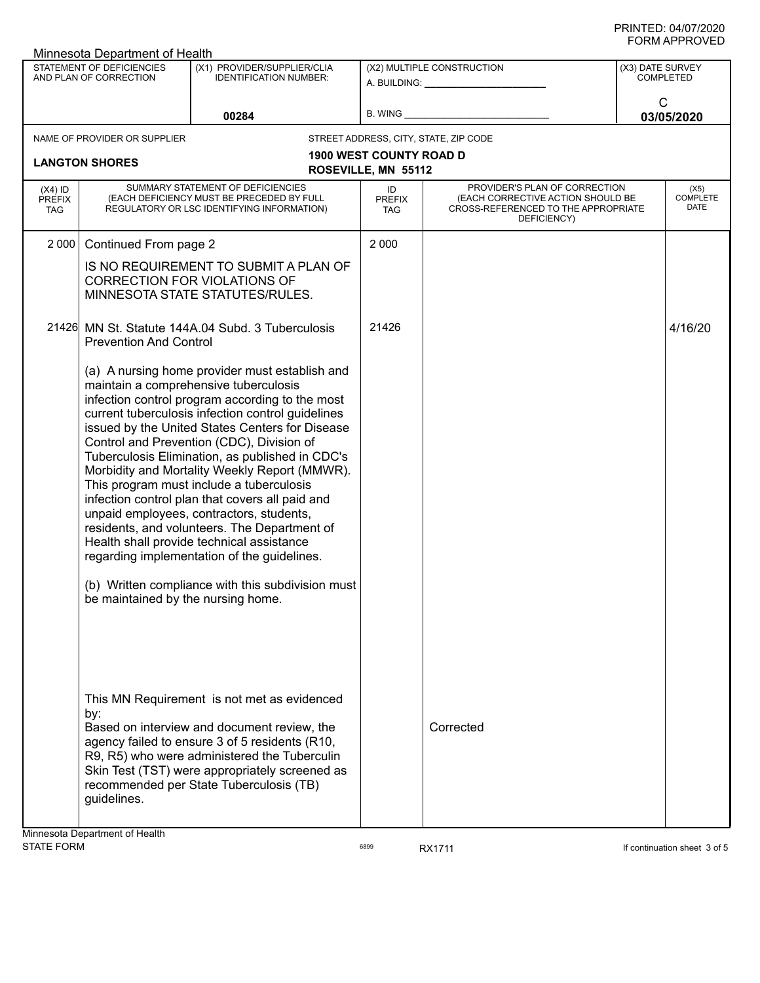|                                          | STATEMENT OF DEFICIENCIES<br>AND PLAN OF CORRECTION                                                                                                                                                                                                                                                                                                                                                                                                                                                                                                                                                                                                                                                                                                                                   | (X1) PROVIDER/SUPPLIER/CLIA<br><b>IDENTIFICATION NUMBER:</b>                                                                                                                                                                                                                              |                                                         |                                                                                                                          |                                      |                                 |  |
|------------------------------------------|---------------------------------------------------------------------------------------------------------------------------------------------------------------------------------------------------------------------------------------------------------------------------------------------------------------------------------------------------------------------------------------------------------------------------------------------------------------------------------------------------------------------------------------------------------------------------------------------------------------------------------------------------------------------------------------------------------------------------------------------------------------------------------------|-------------------------------------------------------------------------------------------------------------------------------------------------------------------------------------------------------------------------------------------------------------------------------------------|---------------------------------------------------------|--------------------------------------------------------------------------------------------------------------------------|--------------------------------------|---------------------------------|--|
|                                          |                                                                                                                                                                                                                                                                                                                                                                                                                                                                                                                                                                                                                                                                                                                                                                                       |                                                                                                                                                                                                                                                                                           | (X2) MULTIPLE CONSTRUCTION<br>A. BUILDING: A. BUILDING: |                                                                                                                          | (X3) DATE SURVEY<br><b>COMPLETED</b> |                                 |  |
|                                          |                                                                                                                                                                                                                                                                                                                                                                                                                                                                                                                                                                                                                                                                                                                                                                                       | 00284                                                                                                                                                                                                                                                                                     |                                                         |                                                                                                                          |                                      | C<br>03/05/2020                 |  |
|                                          | NAME OF PROVIDER OR SUPPLIER                                                                                                                                                                                                                                                                                                                                                                                                                                                                                                                                                                                                                                                                                                                                                          |                                                                                                                                                                                                                                                                                           |                                                         | STREET ADDRESS, CITY, STATE, ZIP CODE                                                                                    |                                      |                                 |  |
| <b>LANGTON SHORES</b>                    |                                                                                                                                                                                                                                                                                                                                                                                                                                                                                                                                                                                                                                                                                                                                                                                       | <b>1900 WEST COUNTY ROAD D</b><br>ROSEVILLE, MN 55112                                                                                                                                                                                                                                     |                                                         |                                                                                                                          |                                      |                                 |  |
| $(X4)$ ID<br><b>PREFIX</b><br><b>TAG</b> |                                                                                                                                                                                                                                                                                                                                                                                                                                                                                                                                                                                                                                                                                                                                                                                       | SUMMARY STATEMENT OF DEFICIENCIES<br>(EACH DEFICIENCY MUST BE PRECEDED BY FULL<br>REGULATORY OR LSC IDENTIFYING INFORMATION)                                                                                                                                                              | ID<br><b>PREFIX</b><br><b>TAG</b>                       | PROVIDER'S PLAN OF CORRECTION<br>(EACH CORRECTIVE ACTION SHOULD BE<br>CROSS-REFERENCED TO THE APPROPRIATE<br>DEFICIENCY) |                                      | (X5)<br><b>COMPLETE</b><br>DATE |  |
| 2 0 0 0                                  | Continued From page 2                                                                                                                                                                                                                                                                                                                                                                                                                                                                                                                                                                                                                                                                                                                                                                 |                                                                                                                                                                                                                                                                                           | 2 0 0 0                                                 |                                                                                                                          |                                      |                                 |  |
|                                          |                                                                                                                                                                                                                                                                                                                                                                                                                                                                                                                                                                                                                                                                                                                                                                                       | IS NO REQUIREMENT TO SUBMIT A PLAN OF<br>CORRECTION FOR VIOLATIONS OF<br>MINNESOTA STATE STATUTES/RULES.                                                                                                                                                                                  |                                                         |                                                                                                                          |                                      |                                 |  |
| 21426                                    | <b>Prevention And Control</b>                                                                                                                                                                                                                                                                                                                                                                                                                                                                                                                                                                                                                                                                                                                                                         | MN St. Statute 144A.04 Subd. 3 Tuberculosis                                                                                                                                                                                                                                               | 21426                                                   |                                                                                                                          |                                      | 4/16/20                         |  |
|                                          | (a) A nursing home provider must establish and<br>maintain a comprehensive tuberculosis<br>infection control program according to the most<br>current tuberculosis infection control guidelines<br>issued by the United States Centers for Disease<br>Control and Prevention (CDC), Division of<br>Tuberculosis Elimination, as published in CDC's<br>Morbidity and Mortality Weekly Report (MMWR).<br>This program must include a tuberculosis<br>infection control plan that covers all paid and<br>unpaid employees, contractors, students,<br>residents, and volunteers. The Department of<br>Health shall provide technical assistance<br>regarding implementation of the guidelines.<br>(b) Written compliance with this subdivision must<br>be maintained by the nursing home. |                                                                                                                                                                                                                                                                                           |                                                         |                                                                                                                          |                                      |                                 |  |
|                                          | by:<br>guidelines.                                                                                                                                                                                                                                                                                                                                                                                                                                                                                                                                                                                                                                                                                                                                                                    | This MN Requirement is not met as evidenced<br>Based on interview and document review, the<br>agency failed to ensure 3 of 5 residents (R10,<br>R9, R5) who were administered the Tuberculin<br>Skin Test (TST) were appropriately screened as<br>recommended per State Tuberculosis (TB) |                                                         | Corrected                                                                                                                |                                      |                                 |  |

STATE FORM **EXAM** 6899 **RX1711 EXAMPLE 19 STATE FORM** If continuation sheet 3 of 5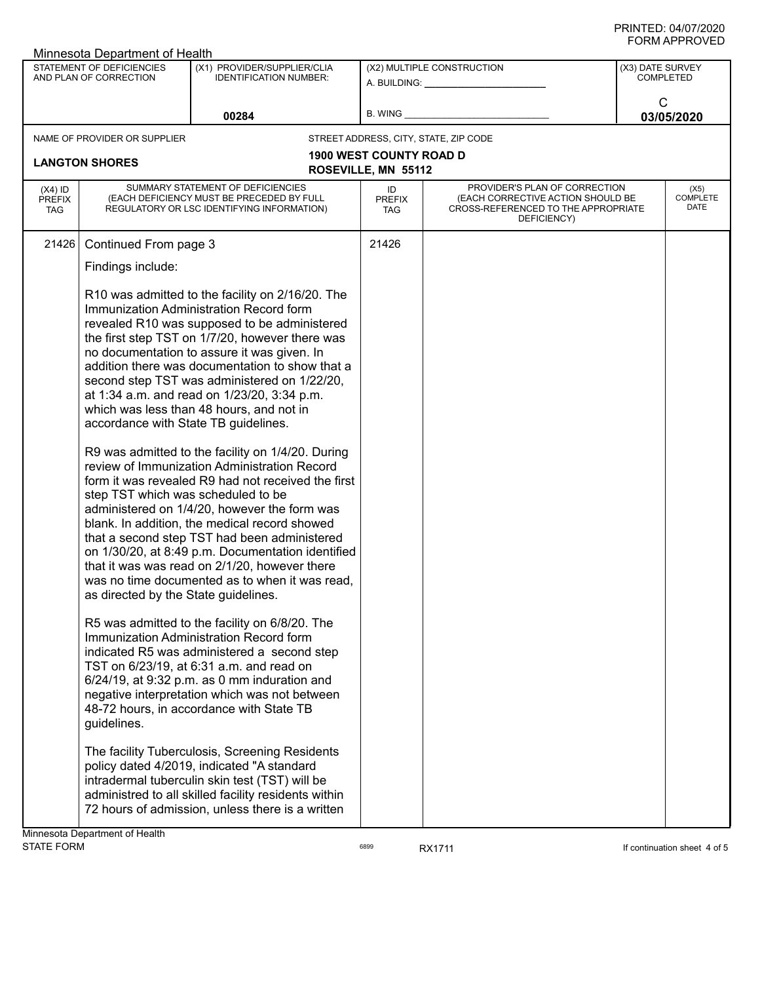| Minnesota Department of Health           |                                                                                                                    |                                                                                                                                                                                                                                                                                                                                                                                                                                                                                                                                                                                                                                                                                                                                                                                                                                                                                                                 |                                                       |                                                                                                                          |  |                                      |  |
|------------------------------------------|--------------------------------------------------------------------------------------------------------------------|-----------------------------------------------------------------------------------------------------------------------------------------------------------------------------------------------------------------------------------------------------------------------------------------------------------------------------------------------------------------------------------------------------------------------------------------------------------------------------------------------------------------------------------------------------------------------------------------------------------------------------------------------------------------------------------------------------------------------------------------------------------------------------------------------------------------------------------------------------------------------------------------------------------------|-------------------------------------------------------|--------------------------------------------------------------------------------------------------------------------------|--|--------------------------------------|--|
|                                          | STATEMENT OF DEFICIENCIES<br>AND PLAN OF CORRECTION                                                                | (X1) PROVIDER/SUPPLIER/CLIA<br><b>IDENTIFICATION NUMBER:</b>                                                                                                                                                                                                                                                                                                                                                                                                                                                                                                                                                                                                                                                                                                                                                                                                                                                    |                                                       | (X2) MULTIPLE CONSTRUCTION<br>A. BUILDING: ____________________                                                          |  | (X3) DATE SURVEY<br><b>COMPLETED</b> |  |
| 00284                                    |                                                                                                                    | <b>B. WING</b>                                                                                                                                                                                                                                                                                                                                                                                                                                                                                                                                                                                                                                                                                                                                                                                                                                                                                                  |                                                       | $\mathsf{C}$<br>03/05/2020                                                                                               |  |                                      |  |
|                                          | NAME OF PROVIDER OR SUPPLIER                                                                                       |                                                                                                                                                                                                                                                                                                                                                                                                                                                                                                                                                                                                                                                                                                                                                                                                                                                                                                                 |                                                       | STREET ADDRESS, CITY, STATE, ZIP CODE                                                                                    |  |                                      |  |
|                                          | <b>LANGTON SHORES</b>                                                                                              |                                                                                                                                                                                                                                                                                                                                                                                                                                                                                                                                                                                                                                                                                                                                                                                                                                                                                                                 | <b>1900 WEST COUNTY ROAD D</b><br>ROSEVILLE, MN 55112 |                                                                                                                          |  |                                      |  |
|                                          |                                                                                                                    |                                                                                                                                                                                                                                                                                                                                                                                                                                                                                                                                                                                                                                                                                                                                                                                                                                                                                                                 |                                                       |                                                                                                                          |  |                                      |  |
| $(X4)$ ID<br><b>PREFIX</b><br><b>TAG</b> |                                                                                                                    | SUMMARY STATEMENT OF DEFICIENCIES<br>(EACH DEFICIENCY MUST BE PRECEDED BY FULL<br>REGULATORY OR LSC IDENTIFYING INFORMATION)                                                                                                                                                                                                                                                                                                                                                                                                                                                                                                                                                                                                                                                                                                                                                                                    | ID<br><b>PREFIX</b><br><b>TAG</b>                     | PROVIDER'S PLAN OF CORRECTION<br>(EACH CORRECTIVE ACTION SHOULD BE<br>CROSS-REFERENCED TO THE APPROPRIATE<br>DEFICIENCY) |  | (X5)<br><b>COMPLETE</b><br>DATE      |  |
| 21426                                    | Continued From page 3                                                                                              |                                                                                                                                                                                                                                                                                                                                                                                                                                                                                                                                                                                                                                                                                                                                                                                                                                                                                                                 | 21426                                                 |                                                                                                                          |  |                                      |  |
|                                          | Findings include:                                                                                                  |                                                                                                                                                                                                                                                                                                                                                                                                                                                                                                                                                                                                                                                                                                                                                                                                                                                                                                                 |                                                       |                                                                                                                          |  |                                      |  |
|                                          | accordance with State TB guidelines.<br>step TST which was scheduled to be<br>as directed by the State guidelines. | R10 was admitted to the facility on 2/16/20. The<br>Immunization Administration Record form<br>revealed R10 was supposed to be administered<br>the first step TST on 1/7/20, however there was<br>no documentation to assure it was given. In<br>addition there was documentation to show that a<br>second step TST was administered on 1/22/20,<br>at 1:34 a.m. and read on 1/23/20, 3:34 p.m.<br>which was less than 48 hours, and not in<br>R9 was admitted to the facility on 1/4/20. During<br>review of Immunization Administration Record<br>form it was revealed R9 had not received the first<br>administered on 1/4/20, however the form was<br>blank. In addition, the medical record showed<br>that a second step TST had been administered<br>on 1/30/20, at 8:49 p.m. Documentation identified<br>that it was was read on 2/1/20, however there<br>was no time documented as to when it was read, |                                                       |                                                                                                                          |  |                                      |  |
|                                          | guidelines.                                                                                                        | R5 was admitted to the facility on 6/8/20. The<br>Immunization Administration Record form<br>indicated R5 was administered a second step<br>TST on 6/23/19, at 6:31 a.m. and read on<br>$6/24/19$ , at 9:32 p.m. as 0 mm induration and<br>negative interpretation which was not between<br>48-72 hours, in accordance with State TB                                                                                                                                                                                                                                                                                                                                                                                                                                                                                                                                                                            |                                                       |                                                                                                                          |  |                                      |  |
|                                          |                                                                                                                    | The facility Tuberculosis, Screening Residents<br>policy dated 4/2019, indicated "A standard<br>intradermal tuberculin skin test (TST) will be<br>administred to all skilled facility residents within<br>72 hours of admission, unless there is a written                                                                                                                                                                                                                                                                                                                                                                                                                                                                                                                                                                                                                                                      |                                                       |                                                                                                                          |  |                                      |  |